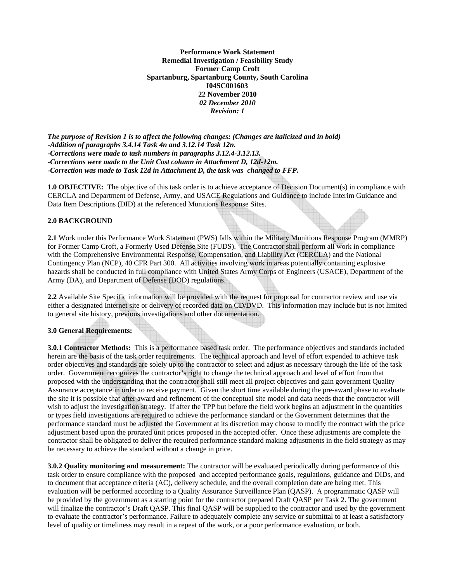**Performance Work Statement Remedial Investigation / Feasibility Study Former Camp Croft Spartanburg, Spartanburg County, South Carolina I04SC001603 22 November 2010**  *02 December 2010 Revision: 1* 

*The purpose of Revision 1 is to affect the following changes: (Changes are italicized and in bold) -Addition of paragraphs 3.4.14 Task 4n and 3.12.14 Task 12n. -Corrections were made to task numbers in paragraphs 3.12.4-3.12.13. -Corrections were made to the Unit Cost column in Attachment D, 12d-12m. -Correction was made to Task 12d in Attachment D, the task was changed to FFP.* 

**1.0 OBJECTIVE:** The objective of this task order is to achieve acceptance of Decision Document(s) in compliance with CERCLA and Department of Defense, Army, and USACE Regulations and Guidance to include Interim Guidance and Data Item Descriptions (DID) at the referenced Munitions Response Sites.

#### **2.0 BACKGROUND**

**2.1** Work under this Performance Work Statement (PWS) falls within the Military Munitions Response Program (MMRP) for Former Camp Croft, a Formerly Used Defense Site (FUDS). The Contractor shall perform all work in compliance with the Comprehensive Environmental Response, Compensation, and Liability Act (CERCLA) and the National Contingency Plan (NCP), 40 CFR Part 300. All activities involving work in areas potentially containing explosive hazards shall be conducted in full compliance with United States Army Corps of Engineers (USACE), Department of the Army (DA), and Department of Defense (DOD) regulations.

**2.2** Available Site Specific information will be provided with the request for proposal for contractor review and use via either a designated Internet site or delivery of recorded data on CD/DVD. This information may include but is not limited to general site history, previous investigations and other documentation.

#### **3.0 General Requirements:**

**3.0.1 Contractor Methods:** This is a performance based task order. The performance objectives and standards included herein are the basis of the task order requirements. The technical approach and level of effort expended to achieve task order objectives and standards are solely up to the contractor to select and adjust as necessary through the life of the task order. Government recognizes the contractor's right to change the technical approach and level of effort from that proposed with the understanding that the contractor shall still meet all project objectives and gain government Quality Assurance acceptance in order to receive payment. Given the short time available during the pre-award phase to evaluate the site it is possible that after award and refinement of the conceptual site model and data needs that the contractor will wish to adjust the investigation strategy. If after the TPP but before the field work begins an adjustment in the quantities or types field investigations are required to achieve the performance standard or the Government determines that the performance standard must be adjusted the Government at its discretion may choose to modify the contract with the price adjustment based upon the prorated unit prices proposed in the accepted offer. Once these adjustments are complete the contractor shall be obligated to deliver the required performance standard making adjustments in the field strategy as may be necessary to achieve the standard without a change in price.

**3.0.2 Quality monitoring and measurement:** The contractor will be evaluated periodically during performance of this task order to ensure compliance with the proposed and accepted performance goals, regulations, guidance and DIDs, and to document that acceptance criteria (AC), delivery schedule, and the overall completion date are being met. This evaluation will be performed according to a Quality Assurance Surveillance Plan (QASP). A programmatic QASP will be provided by the government as a starting point for the contractor prepared Draft QASP per Task 2. The government will finalize the contractor's Draft QASP. This final QASP will be supplied to the contractor and used by the government to evaluate the contractor's performance. Failure to adequately complete any service or submittal to at least a satisfactory level of quality or timeliness may result in a repeat of the work, or a poor performance evaluation, or both.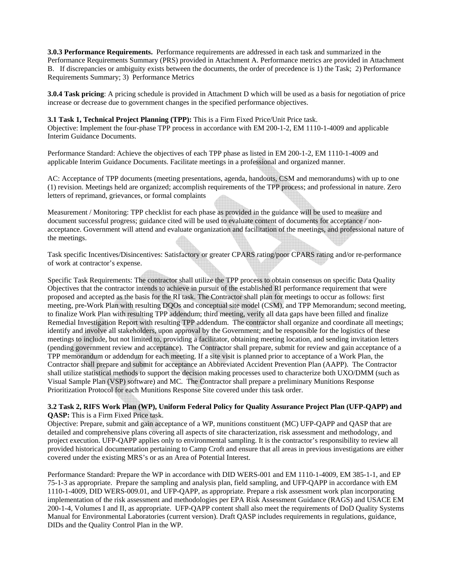**3.0.3 Performance Requirements.** Performance requirements are addressed in each task and summarized in the Performance Requirements Summary (PRS) provided in Attachment A. Performance metrics are provided in Attachment B. If discrepancies or ambiguity exists between the documents, the order of precedence is 1) the Task; 2) Performance Requirements Summary; 3) Performance Metrics

**3.0.4 Task pricing**: A pricing schedule is provided in Attachment D which will be used as a basis for negotiation of price increase or decrease due to government changes in the specified performance objectives.

#### **3.1 Task 1, Technical Project Planning (TPP):** This is a Firm Fixed Price/Unit Price task.

Objective: Implement the four-phase TPP process in accordance with EM 200-1-2, EM 1110-1-4009 and applicable Interim Guidance Documents.

Performance Standard: Achieve the objectives of each TPP phase as listed in EM 200-1-2, EM 1110-1-4009 and applicable Interim Guidance Documents. Facilitate meetings in a professional and organized manner.

AC: Acceptance of TPP documents (meeting presentations, agenda, handouts, CSM and memorandums) with up to one (1) revision. Meetings held are organized; accomplish requirements of the TPP process; and professional in nature. Zero letters of reprimand, grievances, or formal complaints

Measurement / Monitoring: TPP checklist for each phase as provided in the guidance will be used to measure and document successful progress; guidance cited will be used to evaluate content of documents for acceptance / nonacceptance. Government will attend and evaluate organization and facilitation of the meetings, and professional nature of the meetings.

Task specific Incentives/Disincentives: Satisfactory or greater CPARS rating/poor CPARS rating and/or re-performance of work at contractor's expense.

Specific Task Requirements: The contractor shall utilize the TPP process to obtain consensus on specific Data Quality Objectives that the contractor intends to achieve in pursuit of the established RI performance requirement that were proposed and accepted as the basis for the RI task. The Contractor shall plan for meetings to occur as follows: first meeting, pre-Work Plan with resulting DQOs and conceptual site model (CSM), and TPP Memorandum; second meeting, to finalize Work Plan with resulting TPP addendum; third meeting, verify all data gaps have been filled and finalize Remedial Investigation Report with resulting TPP addendum. The contractor shall organize and coordinate all meetings; identify and involve all stakeholders, upon approval by the Government; and be responsible for the logistics of these meetings to include, but not limited to, providing a facilitator, obtaining meeting location, and sending invitation letters (pending government review and acceptance). The Contractor shall prepare, submit for review and gain acceptance of a TPP memorandum or addendum for each meeting. If a site visit is planned prior to acceptance of a Work Plan, the Contractor shall prepare and submit for acceptance an Abbreviated Accident Prevention Plan (AAPP). The Contractor shall utilize statistical methods to support the decision making processes used to characterize both UXO/DMM (such as Visual Sample Plan (VSP) software) and MC. The Contractor shall prepare a preliminary Munitions Response Prioritization Protocol for each Munitions Response Site covered under this task order.

#### **3.2 Task 2, RIFS Work Plan (WP), Uniform Federal Policy for Quality Assurance Project Plan (UFP-QAPP) and QASP:** This is a Firm Fixed Price task.

Objective: Prepare, submit and gain acceptance of a WP, munitions constituent (MC) UFP-QAPP and QASP that are detailed and comprehensive plans covering all aspects of site characterization, risk assessment and methodology, and project execution. UFP-QAPP applies only to environmental sampling. It is the contractor's responsibility to review all provided historical documentation pertaining to Camp Croft and ensure that all areas in previous investigations are either covered under the existing MRS's or as an Area of Potential Interest.

Performance Standard: Prepare the WP in accordance with DID WERS-001 and EM 1110-1-4009, EM 385-1-1, and EP 75-1-3 as appropriate. Prepare the sampling and analysis plan, field sampling, and UFP-QAPP in accordance with EM 1110-1-4009, DID WERS-009.01, and UFP-QAPP, as appropriate. Prepare a risk assessment work plan incorporating implementation of the risk assessment and methodologies per EPA Risk Assessment Guidance (RAGS) and USACE EM 200-1-4, Volumes I and II, as appropriate. UFP-QAPP content shall also meet the requirements of DoD Quality Systems Manual for Environmental Laboratories (current version). Draft QASP includes requirements in regulations, guidance, DIDs and the Quality Control Plan in the WP.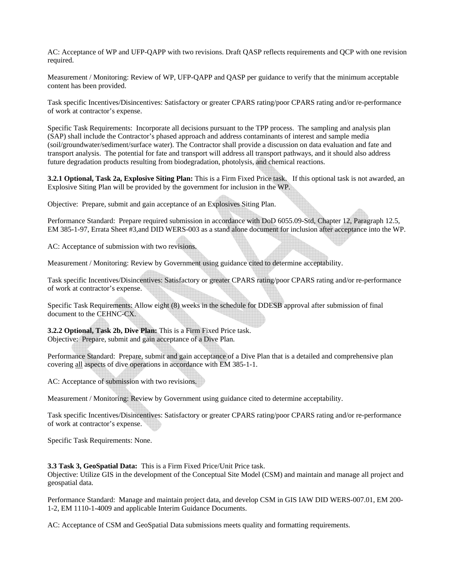AC: Acceptance of WP and UFP-QAPP with two revisions. Draft QASP reflects requirements and QCP with one revision required.

Measurement / Monitoring: Review of WP, UFP-QAPP and QASP per guidance to verify that the minimum acceptable content has been provided.

Task specific Incentives/Disincentives: Satisfactory or greater CPARS rating/poor CPARS rating and/or re-performance of work at contractor's expense.

Specific Task Requirements: Incorporate all decisions pursuant to the TPP process. The sampling and analysis plan (SAP) shall include the Contractor's phased approach and address contaminants of interest and sample media (soil/groundwater/sediment/surface water). The Contractor shall provide a discussion on data evaluation and fate and transport analysis. The potential for fate and transport will address all transport pathways, and it should also address future degradation products resulting from biodegradation, photolysis, and chemical reactions.

**3.2.1 Optional, Task 2a, Explosive Siting Plan:** This is a Firm Fixed Price task. If this optional task is not awarded, an Explosive Siting Plan will be provided by the government for inclusion in the WP.

Objective: Prepare, submit and gain acceptance of an Explosives Siting Plan.

Performance Standard: Prepare required submission in accordance with DoD 6055.09-Std, Chapter 12, Paragraph 12.5, EM 385-1-97, Errata Sheet #3,and DID WERS-003 as a stand alone document for inclusion after acceptance into the WP.

AC: Acceptance of submission with two revisions.

Measurement / Monitoring: Review by Government using guidance cited to determine acceptability.

Task specific Incentives/Disincentives: Satisfactory or greater CPARS rating/poor CPARS rating and/or re-performance of work at contractor's expense.

Specific Task Requirements: Allow eight (8) weeks in the schedule for DDESB approval after submission of final document to the CEHNC-CX.

**3.2.2 Optional, Task 2b, Dive Plan:** This is a Firm Fixed Price task. Objective: Prepare, submit and gain acceptance of a Dive Plan.

Performance Standard: Prepare, submit and gain acceptance of a Dive Plan that is a detailed and comprehensive plan covering all aspects of dive operations in accordance with EM 385-1-1.

AC: Acceptance of submission with two revisions.

Measurement / Monitoring: Review by Government using guidance cited to determine acceptability.

Task specific Incentives/Disincentives: Satisfactory or greater CPARS rating/poor CPARS rating and/or re-performance of work at contractor's expense.

Specific Task Requirements: None.

#### **3.3 Task 3, GeoSpatial Data:** This is a Firm Fixed Price/Unit Price task.

Objective: Utilize GIS in the development of the Conceptual Site Model (CSM) and maintain and manage all project and geospatial data.

Performance Standard: Manage and maintain project data, and develop CSM in GIS IAW DID WERS-007.01, EM 200- 1-2, EM 1110-1-4009 and applicable Interim Guidance Documents.

AC: Acceptance of CSM and GeoSpatial Data submissions meets quality and formatting requirements.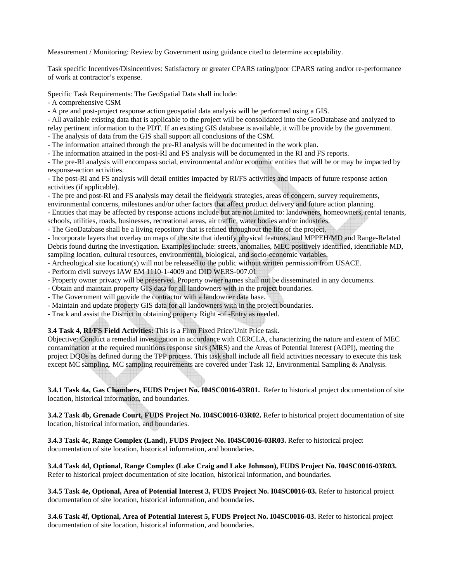Measurement / Monitoring: Review by Government using guidance cited to determine acceptability.

Task specific Incentives/Disincentives: Satisfactory or greater CPARS rating/poor CPARS rating and/or re-performance of work at contractor's expense.

Specific Task Requirements: The GeoSpatial Data shall include:

- A comprehensive CSM

- A pre and post-project response action geospatial data analysis will be performed using a GIS.

- All available existing data that is applicable to the project will be consolidated into the GeoDatabase and analyzed to relay pertinent information to the PDT. If an existing GIS database is available, it will be provide by the government.

- The analysis of data from the GIS shall support all conclusions of the CSM.

- The information attained through the pre-RI analysis will be documented in the work plan.

- The information attained in the post-RI and FS analysis will be documented in the RI and FS reports.

- The pre-RI analysis will encompass social, environmental and/or economic entities that will be or may be impacted by response-action activities.

- The post-RI and FS analysis will detail entities impacted by RI/FS activities and impacts of future response action activities (if applicable).

- The pre and post-RI and FS analysis may detail the fieldwork strategies, areas of concern, survey requirements,

environmental concerns, milestones and/or other factors that affect product delivery and future action planning.

- Entities that may be affected by response actions include but are not limited to: landowners, homeowners, rental tenants, schools, utilities, roads, businesses, recreational areas, air traffic, water bodies and/or industries.

- The GeoDatabase shall be a living repository that is refined throughout the life of the project.

- Incorporate layers that overlay on maps of the site that identify physical features, and MPPEH/MD and Range-Related Debris found during the investigation. Examples include: streets, anomalies, MEC positively identified, identifiable MD,

sampling location, cultural resources, environmental, biological, and socio-economic variables.

- Archeological site location(s) will not be released to the public without written permission from USACE.

- Perform civil surveys IAW EM 1110-1-4009 and DID WERS-007.01

- Property owner privacy will be preserved. Property owner names shall not be disseminated in any documents.

- Obtain and maintain property GIS data for all landowners with in the project boundaries.

- The Government will provide the contractor with a landowner data base.

- Maintain and update property GIS data for all landowners with in the project boundaries.

- Track and assist the District in obtaining property Right -of -Entry as needed.

**3.4 Task 4, RI/FS Field Activities:** This is a Firm Fixed Price/Unit Price task.

Objective: Conduct a remedial investigation in accordance with CERCLA, characterizing the nature and extent of MEC contamination at the required munitions response sites (MRS) and the Areas of Potential Interest (AOPI), meeting the project DQOs as defined during the TPP process. This task shall include all field activities necessary to execute this task except MC sampling. MC sampling requirements are covered under Task 12, Environmental Sampling & Analysis.

**3.4.1 Task 4a, Gas Chambers, FUDS Project No. I04SC0016-03R01.** Refer to historical project documentation of site location, historical information, and boundaries.

**3.4.2 Task 4b, Grenade Court, FUDS Project No. I04SC0016-03R02.** Refer to historical project documentation of site location, historical information, and boundaries.

**3.4.3 Task 4c, Range Complex (Land), FUDS Project No. I04SC0016-03R03.** Refer to historical project documentation of site location, historical information, and boundaries.

**3.4.4 Task 4d, Optional, Range Complex (Lake Craig and Lake Johnson), FUDS Project No. I04SC0016-03R03.**  Refer to historical project documentation of site location, historical information, and boundaries.

**3.4.5 Task 4e, Optional, Area of Potential Interest 3, FUDS Project No. I04SC0016-03.** Refer to historical project documentation of site location, historical information, and boundaries.

**3.4.6 Task 4f, Optional, Area of Potential Interest 5, FUDS Project No. I04SC0016-03.** Refer to historical project documentation of site location, historical information, and boundaries.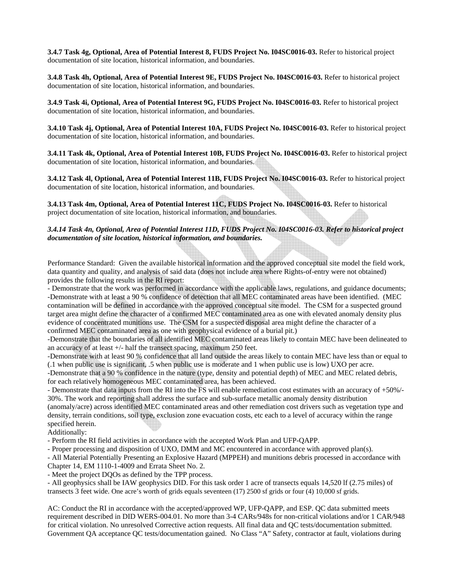**3.4.7 Task 4g, Optional, Area of Potential Interest 8, FUDS Project No. I04SC0016-03.** Refer to historical project documentation of site location, historical information, and boundaries.

**3.4.8 Task 4h, Optional, Area of Potential Interest 9E, FUDS Project No. I04SC0016-03.** Refer to historical project documentation of site location, historical information, and boundaries.

**3.4.9 Task 4i, Optional, Area of Potential Interest 9G, FUDS Project No. I04SC0016-03.** Refer to historical project documentation of site location, historical information, and boundaries.

**3.4.10 Task 4j, Optional, Area of Potential Interest 10A, FUDS Project No. I04SC0016-03.** Refer to historical project documentation of site location, historical information, and boundaries.

**3.4.11 Task 4k, Optional, Area of Potential Interest 10B, FUDS Project No. I04SC0016-03.** Refer to historical project documentation of site location, historical information, and boundaries.

**3.4.12 Task 4l, Optional, Area of Potential Interest 11B, FUDS Project No. I04SC0016-03.** Refer to historical project documentation of site location, historical information, and boundaries.

**3.4.13 Task 4m, Optional, Area of Potential Interest 11C, FUDS Project No. I04SC0016-03.** Refer to historical project documentation of site location, historical information, and boundaries.

*3.4.14 Task 4n, Optional, Area of Potential Interest 11D, FUDS Project No. I04SC0016-03. Refer to historical project documentation of site location, historical information, and boundaries.* 

Performance Standard: Given the available historical information and the approved conceptual site model the field work, data quantity and quality, and analysis of said data (does not include area where Rights-of-entry were not obtained) provides the following results in the RI report:

- Demonstrate that the work was performed in accordance with the applicable laws, regulations, and guidance documents; -Demonstrate with at least a 90 % confidence of detection that all MEC contaminated areas have been identified. (MEC contamination will be defined in accordance with the approved conceptual site model. The CSM for a suspected ground target area might define the character of a confirmed MEC contaminated area as one with elevated anomaly density plus evidence of concentrated munitions use. The CSM for a suspected disposal area might define the character of a confirmed MEC contaminated area as one with geophysical evidence of a burial pit.)

-Demonstrate that the boundaries of all identified MEC contaminated areas likely to contain MEC have been delineated to an accuracy of at least +/- half the transect spacing, maximum 250 feet.

-Demonstrate with at least 90 % confidence that all land outside the areas likely to contain MEC have less than or equal to (.1 when public use is significant, .5 when public use is moderate and 1 when public use is low) UXO per acre.

-Demonstrate that a 90 % confidence in the nature (type, density and potential depth) of MEC and MEC related debris, for each relatively homogeneous MEC contaminated area, has been achieved.

- Demonstrate that data inputs from the RI into the FS will enable remediation cost estimates with an accuracy of +50%/- 30%. The work and reporting shall address the surface and sub-surface metallic anomaly density distribution

(anomaly/acre) across identified MEC contaminated areas and other remediation cost drivers such as vegetation type and density, terrain conditions, soil type, exclusion zone evacuation costs, etc each to a level of accuracy within the range specified herein.

Additionally:

- Perform the RI field activities in accordance with the accepted Work Plan and UFP-QAPP.

- Proper processing and disposition of UXO, DMM and MC encountered in accordance with approved plan(s).

- All Material Potentially Presenting an Explosive Hazard (MPPEH) and munitions debris processed in accordance with Chapter 14, EM 1110-1-4009 and Errata Sheet No. 2.

- Meet the project DQOs as defined by the TPP process.

- All geophysics shall be IAW geophysics DID. For this task order 1 acre of transects equals 14,520 lf (2.75 miles) of transects 3 feet wide. One acre's worth of grids equals seventeen (17) 2500 sf grids or four (4) 10,000 sf grids.

AC: Conduct the RI in accordance with the accepted/approved WP, UFP-QAPP, and ESP. QC data submitted meets requirement described in DID WERS-004.01. No more than 3-4 CARs/948s for non-critical violations and/or 1 CAR/948 for critical violation. No unresolved Corrective action requests. All final data and QC tests/documentation submitted. Government QA acceptance QC tests/documentation gained. No Class "A" Safety, contractor at fault, violations during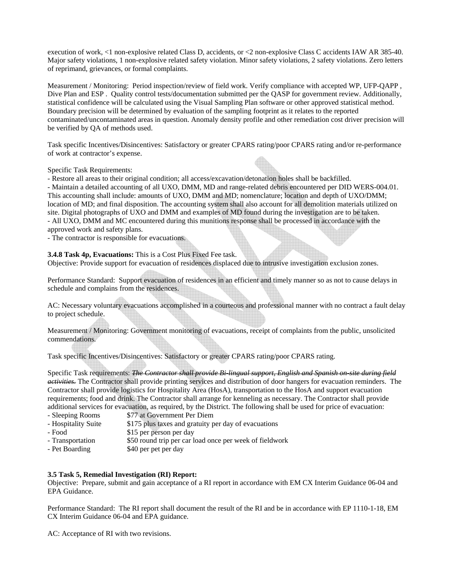execution of work, <1 non-explosive related Class D, accidents, or <2 non-explosive Class C accidents IAW AR 385-40. Major safety violations, 1 non-explosive related safety violation. Minor safety violations, 2 safety violations. Zero letters of reprimand, grievances, or formal complaints.

Measurement / Monitoring: Period inspection/review of field work. Verify compliance with accepted WP, UFP-QAPP , Dive Plan and ESP. Ouality control tests/documentation submitted per the OASP for government review. Additionally, statistical confidence will be calculated using the Visual Sampling Plan software or other approved statistical method. Boundary precision will be determined by evaluation of the sampling footprint as it relates to the reported contaminated/uncontaminated areas in question. Anomaly density profile and other remediation cost driver precision will be verified by QA of methods used.

Task specific Incentives/Disincentives: Satisfactory or greater CPARS rating/poor CPARS rating and/or re-performance of work at contractor's expense.

#### Specific Task Requirements:

- Restore all areas to their original condition; all access/excavation/detonation holes shall be backfilled.

- Maintain a detailed accounting of all UXO, DMM, MD and range-related debris encountered per DID WERS-004.01. This accounting shall include: amounts of UXO, DMM and MD; nomenclature; location and depth of UXO/DMM; location of MD; and final disposition. The accounting system shall also account for all demolition materials utilized on site. Digital photographs of UXO and DMM and examples of MD found during the investigation are to be taken. - All UXO, DMM and MC encountered during this munitions response shall be processed in accordance with the approved work and safety plans.

- The contractor is responsible for evacuations.

**3.4.8 Task 4p, Evacuations:** This is a Cost Plus Fixed Fee task.

Objective: Provide support for evacuation of residences displaced due to intrusive investigation exclusion zones.

Performance Standard: Support evacuation of residences in an efficient and timely manner so as not to cause delays in schedule and complains from the residences.

AC: Necessary voluntary evacuations accomplished in a courteous and professional manner with no contract a fault delay to project schedule.

Measurement / Monitoring: Government monitoring of evacuations, receipt of complaints from the public, unsolicited commendations.

Task specific Incentives/Disincentives: Satisfactory or greater CPARS rating/poor CPARS rating.

Specific Task requirements: *The Contractor shall provide Bi-lingual support, English and Spanish on-site during field activities.* The Contractor shall provide printing services and distribution of door hangers for evacuation reminders. The Contractor shall provide logistics for Hospitality Area (HosA), transportation to the HosA and support evacuation requirements; food and drink. The Contractor shall arrange for kenneling as necessary. The Contractor shall provide additional services for evacuation, as required, by the District. The following shall be used for price of evacuation:

- Sleeping Rooms \$77 at Government Per Diem<br>- Hospitality Suite \$175 plus taxes and gratuity p
- \$175 plus taxes and gratuity per day of evacuations
- Food \$15 per person per day
- Transportation \$50 round trip per car load once per week of fieldwork
- Pet Boarding \$40 per pet per day

#### **3.5 Task 5, Remedial Investigation (RI) Report:**

Objective: Prepare, submit and gain acceptance of a RI report in accordance with EM CX Interim Guidance 06-04 and EPA Guidance.

Performance Standard: The RI report shall document the result of the RI and be in accordance with EP 1110-1-18, EM CX Interim Guidance 06-04 and EPA guidance.

AC: Acceptance of RI with two revisions.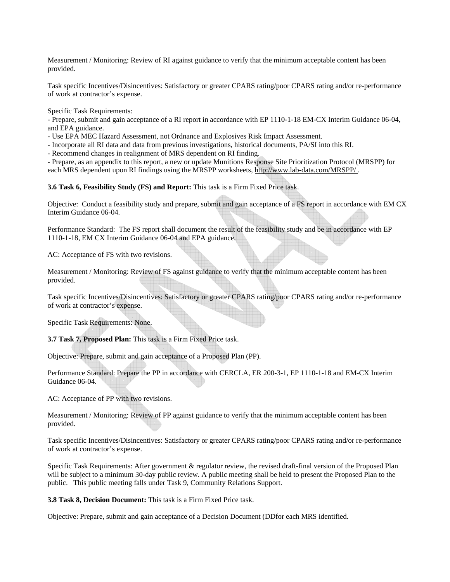Measurement / Monitoring: Review of RI against guidance to verify that the minimum acceptable content has been provided.

Task specific Incentives/Disincentives: Satisfactory or greater CPARS rating/poor CPARS rating and/or re-performance of work at contractor's expense.

Specific Task Requirements:

- Prepare, submit and gain acceptance of a RI report in accordance with EP 1110-1-18 EM-CX Interim Guidance 06-04, and EPA guidance.

- Use EPA MEC Hazard Assessment, not Ordnance and Explosives Risk Impact Assessment.

- Incorporate all RI data and data from previous investigations, historical documents, PA/SI into this RI.

- Recommend changes in realignment of MRS dependent on RI finding.

- Prepare, as an appendix to this report, a new or update Munitions Response Site Prioritization Protocol (MRSPP) for each MRS dependent upon RI findings using the MRSPP worksheets, http://www.lab-data.com/MRSPP/.

**3.6 Task 6, Feasibility Study (FS) and Report:** This task is a Firm Fixed Price task.

Objective: Conduct a feasibility study and prepare, submit and gain acceptance of a FS report in accordance with EM CX Interim Guidance 06-04.

Performance Standard: The FS report shall document the result of the feasibility study and be in accordance with EP 1110-1-18, EM CX Interim Guidance 06-04 and EPA guidance.

AC: Acceptance of FS with two revisions.

Measurement / Monitoring: Review of FS against guidance to verify that the minimum acceptable content has been provided.

Task specific Incentives/Disincentives: Satisfactory or greater CPARS rating/poor CPARS rating and/or re-performance of work at contractor's expense.

Specific Task Requirements: None.

**3.7 Task 7, Proposed Plan:** This task is a Firm Fixed Price task.

Objective: Prepare, submit and gain acceptance of a Proposed Plan (PP).

Performance Standard: Prepare the PP in accordance with CERCLA, ER 200-3-1, EP 1110-1-18 and EM-CX Interim Guidance 06-04.

AC: Acceptance of PP with two revisions.

Measurement / Monitoring: Review of PP against guidance to verify that the minimum acceptable content has been provided.

Task specific Incentives/Disincentives: Satisfactory or greater CPARS rating/poor CPARS rating and/or re-performance of work at contractor's expense.

Specific Task Requirements: After government & regulator review, the revised draft-final version of the Proposed Plan will be subject to a minimum 30-day public review. A public meeting shall be held to present the Proposed Plan to the public. This public meeting falls under Task 9, Community Relations Support.

**3.8 Task 8, Decision Document:** This task is a Firm Fixed Price task.

Objective: Prepare, submit and gain acceptance of a Decision Document (DDfor each MRS identified.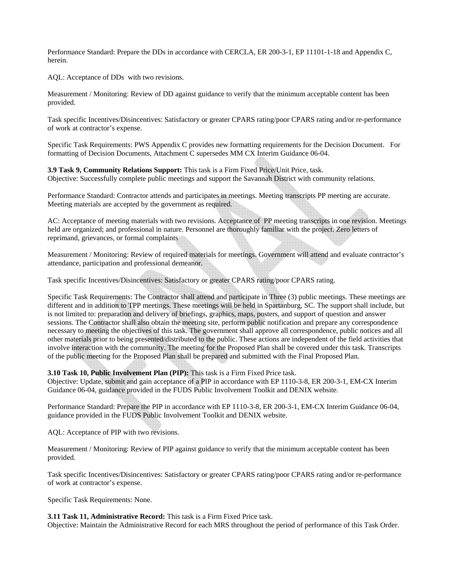Performance Standard: Prepare the DDs in accordance with CERCLA, ER 200-3-1, EP 11101-1-18 and Appendix C, herein.

AQL: Acceptance of DDs with two revisions.

Measurement / Monitoring: Review of DD against guidance to verify that the minimum acceptable content has been provided.

Task specific Incentives/Disincentives: Satisfactory or greater CPARS rating/poor CPARS rating and/or re-performance of work at contractor's expense.

Specific Task Requirements: PWS Appendix C provides new formatting requirements for the Decision Document. For formatting of Decision Documents, Attachment C supersedes MM CX Interim Guidance 06-04.

**3.9 Task 9, Community Relations Support:** This task is a Firm Fixed Price/Unit Price, task. Objective: Successfully complete public meetings and support the Savannah District with community relations.

Performance Standard: Contractor attends and participates in meetings. Meeting transcripts PP meeting are accurate. Meeting materials are accepted by the government as required.

AC: Acceptance of meeting materials with two revisions. Acceptance of PP meeting transcripts in one revision. Meetings held are organized; and professional in nature. Personnel are thoroughly familiar with the project. Zero letters of reprimand, grievances, or formal complaints

Measurement / Monitoring: Review of required materials for meetings. Government will attend and evaluate contractor's attendance, participation and professional demeanor.

Task specific Incentives/Disincentives: Satisfactory or greater CPARS rating/poor CPARS rating.

Specific Task Requirements: The Contractor shall attend and participate in Three (3) public meetings. These meetings are different and in addition to TPP meetings. These meetings will be held in Spartanburg, SC. The support shall include, but is not limited to: preparation and delivery of briefings, graphics, maps, posters, and support of question and answer sessions. The Contractor shall also obtain the meeting site, perform public notification and prepare any correspondence necessary to meeting the objectives of this task. The government shall approve all correspondence, public notices and all other materials prior to being presented/distributed to the public. These actions are independent of the field activities that involve interaction with the community. The meeting for the Proposed Plan shall be covered under this task. Transcripts of the public meeting for the Proposed Plan shall be prepared and submitted with the Final Proposed Plan.

#### **3.10 Task 10, Public Involvement Plan (PIP):** This task is a Firm Fixed Price task.

Objective: Update, submit and gain acceptance of a PIP in accordance with EP 1110-3-8, ER 200-3-1, EM-CX Interim Guidance 06-04, guidance provided in the FUDS Public Involvement Toolkit and DENIX website.

Performance Standard: Prepare the PIP in accordance with EP 1110-3-8, ER 200-3-1, EM-CX Interim Guidance 06-04, guidance provided in the FUDS Public Involvement Toolkit and DENIX website.

AQL: Acceptance of PIP with two revisions.

Measurement / Monitoring: Review of PIP against guidance to verify that the minimum acceptable content has been provided.

Task specific Incentives/Disincentives: Satisfactory or greater CPARS rating/poor CPARS rating and/or re-performance of work at contractor's expense.

Specific Task Requirements: None.

**3.11 Task 11, Administrative Record:** This task is a Firm Fixed Price task.

Objective: Maintain the Administrative Record for each MRS throughout the period of performance of this Task Order.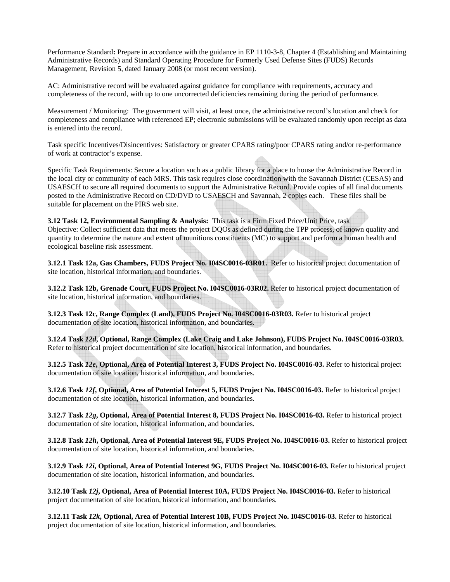Performance Standard**:** Prepare in accordance with the guidance in EP 1110-3-8, Chapter 4 (Establishing and Maintaining Administrative Records) and Standard Operating Procedure for Formerly Used Defense Sites (FUDS) Records Management, Revision 5, dated January 2008 (or most recent version).

AC: Administrative record will be evaluated against guidance for compliance with requirements, accuracy and completeness of the record, with up to one uncorrected deficiencies remaining during the period of performance.

Measurement / Monitoring: The government will visit, at least once, the administrative record's location and check for completeness and compliance with referenced EP; electronic submissions will be evaluated randomly upon receipt as data is entered into the record.

Task specific Incentives/Disincentives: Satisfactory or greater CPARS rating/poor CPARS rating and/or re-performance of work at contractor's expense.

Specific Task Requirements: Secure a location such as a public library for a place to house the Administrative Record in the local city or community of each MRS. This task requires close coordination with the Savannah District (CESAS) and USAESCH to secure all required documents to support the Administrative Record. Provide copies of all final documents posted to the Administrative Record on CD/DVD to USAESCH and Savannah, 2 copies each. These files shall be suitable for placement on the PIRS web site.

**3.12 Task 12, Environmental Sampling & Analysis:** This task is a Firm Fixed Price/Unit Price, task Objective: Collect sufficient data that meets the project DQOs as defined during the TPP process, of known quality and quantity to determine the nature and extent of munitions constituents (MC) to support and perform a human health and ecological baseline risk assessment.

**3.12.1 Task 12a, Gas Chambers, FUDS Project No. I04SC0016-03R01.** Refer to historical project documentation of site location, historical information, and boundaries.

**3.12.2 Task 12b, Grenade Court, FUDS Project No. I04SC0016-03R02.** Refer to historical project documentation of site location, historical information, and boundaries.

**3.12.3 Task 12c, Range Complex (Land), FUDS Project No. I04SC0016-03R03.** Refer to historical project documentation of site location, historical information, and boundaries.

**3.12.4 Task** *12d***, Optional, Range Complex (Lake Craig and Lake Johnson), FUDS Project No. I04SC0016-03R03.**  Refer to historical project documentation of site location, historical information, and boundaries.

**3.12.5 Task** *12e***, Optional, Area of Potential Interest 3, FUDS Project No. I04SC0016-03.** Refer to historical project documentation of site location, historical information, and boundaries.

**3.12.6 Task** *12f***, Optional, Area of Potential Interest 5, FUDS Project No. I04SC0016-03.** Refer to historical project documentation of site location, historical information, and boundaries.

**3.12.7 Task** *12g***, Optional, Area of Potential Interest 8, FUDS Project No. I04SC0016-03.** Refer to historical project documentation of site location, historical information, and boundaries.

**3.12.8 Task** *12h***, Optional, Area of Potential Interest 9E, FUDS Project No. I04SC0016-03.** Refer to historical project documentation of site location, historical information, and boundaries.

**3.12.9 Task** *12i***, Optional, Area of Potential Interest 9G, FUDS Project No. I04SC0016-03.** Refer to historical project documentation of site location, historical information, and boundaries.

**3.12.10 Task** *12j***, Optional, Area of Potential Interest 10A, FUDS Project No. I04SC0016-03.** Refer to historical project documentation of site location, historical information, and boundaries.

**3.12.11 Task** *12k***, Optional, Area of Potential Interest 10B, FUDS Project No. I04SC0016-03.** Refer to historical project documentation of site location, historical information, and boundaries.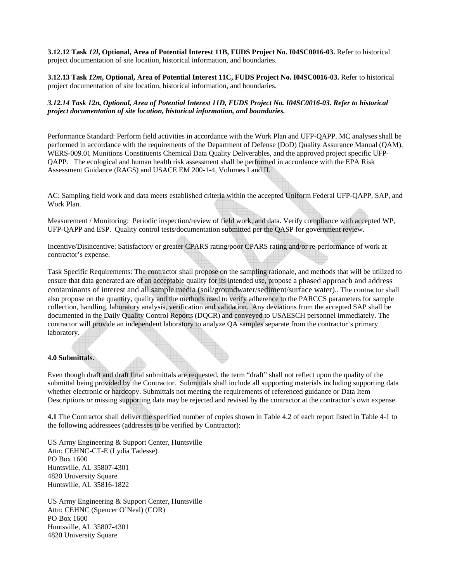**3.12.12 Task** *12l***, Optional, Area of Potential Interest 11B, FUDS Project No. I04SC0016-03.** Refer to historical project documentation of site location, historical information, and boundaries.

**3.12.13 Task** *12m***, Optional, Area of Potential Interest 11C, FUDS Project No. I04SC0016-03.** Refer to historical project documentation of site location, historical information, and boundaries.

*3.12.14 Task 12n, Optional, Area of Potential Interest 11D, FUDS Project No. I04SC0016-03. Refer to historical project documentation of site location, historical information, and boundaries.* 

Performance Standard: Perform field activities in accordance with the Work Plan and UFP-QAPP. MC analyses shall be performed in accordance with the requirements of the Department of Defense (DoD) Quality Assurance Manual (QAM), WERS-009.01 Munitions Constituents Chemical Data Quality Deliverables, and the approved project specific UFP-QAPP. The ecological and human health risk assessment shall be performed in accordance with the EPA Risk Assessment Guidance (RAGS) and USACE EM 200-1-4, Volumes I and II.

AC: Sampling field work and data meets established criteria within the accepted Uniform Federal UFP-QAPP, SAP, and Work Plan.

Measurement / Monitoring: Periodic inspection/review of field work, and data. Verify compliance with accepted WP, UFP-QAPP and ESP. Quality control tests/documentation submitted per the QASP for government review.

Incentive/Disincentive: Satisfactory or greater CPARS rating/poor CPARS rating and/or re-performance of work at contractor's expense.

Task Specific Requirements: The contractor shall propose on the sampling rationale, and methods that will be utilized to ensure that data generated are of an acceptable quality for its intended use, propose a phased approach and address contaminants of interest and all sample media (soil/groundwater/sediment/surface water).. The contractor shall also propose on the quantity, quality and the methods used to verify adherence to the PARCCS parameters for sample collection, handling, laboratory analysis, verification and validation. Any deviations from the accepted SAP shall be documented in the Daily Quality Control Reports (DQCR) and conveyed to USAESCH personnel immediately. The contractor will provide an independent laboratory to analyze QA samples separate from the contractor's primary laboratory.

#### **4.0 Submittals**.

Even though draft and draft final submittals are requested, the term "draft" shall not reflect upon the quality of the submittal being provided by the Contractor. Submittals shall include all supporting materials including supporting data whether electronic or hardcopy. Submittals not meeting the requirements of referenced guidance or Data Item Descriptions or missing supporting data may be rejected and revised by the contractor at the contractor's own expense.

**4.1** The Contractor shall deliver the specified number of copies shown in Table 4.2 of each report listed in Table 4-1 to the following addressees (addresses to be verified by Contractor):

US Army Engineering & Support Center, Huntsville Attn: CEHNC-CT-E (Lydia Tadesse) PO Box 1600 Huntsville, AL 35807-4301 4820 University Square Huntsville, AL 35816-1822

US Army Engineering & Support Center, Huntsville Attn: CEHNC (Spencer O'Neal) (COR) PO Box 1600 Huntsville, AL 35807-4301 4820 University Square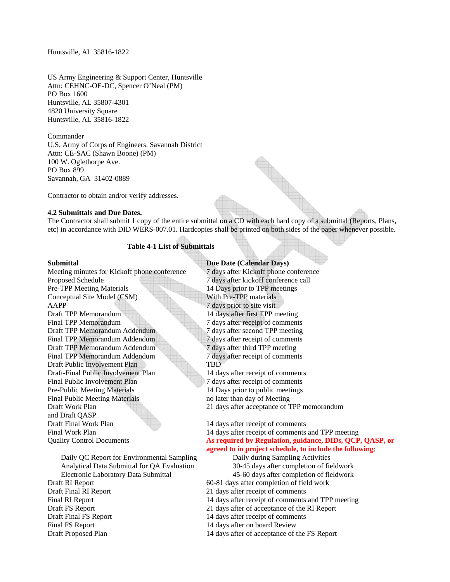#### Huntsville, AL 35816-1822

US Army Engineering & Support Center, Huntsville Attn: CEHNC-OE-DC, Spencer O'Neal (PM) PO Box 1600 Huntsville, AL 35807-4301 4820 University Square Huntsville, AL 35816-1822

Commander

U.S. Army of Corps of Engineers. Savannah District Attn: CE-SAC (Shawn Boone) (PM) 100 W. Oglethorpe Ave. PO Box 899 Savannah, GA 31402-0889

Contractor to obtain and/or verify addresses.

#### **4.2 Submittals and Due Dates.**

The Contractor shall submit 1 copy of the entire submittal on a CD with each hard copy of a submittal (Reports, Plans, etc) in accordance with DID WERS-007.01. Hardcopies shall be printed on both sides of the paper whenever possible.

#### **Table 4-1 List of Submittals**

Meeting minutes for Kickoff phone conference 7 days after Kickoff phone conference Proposed Schedule 7 days after kickoff conference call Pre-TPP Meeting Materials 14 Days prior to TPP meetings Conceptual Site Model (CSM) With Pre-TPP materials AAPP 7 days prior to site visit Draft TPP Memorandum 14 days after first TPP meeting Final TPP Memorandum 7 days after receipt of comments Draft TPP Memorandum Addendum 7 days after second TPP meeting Final TPP Memorandum Addendum 7 days after receipt of comments Draft TPP Memorandum Addendum 7 days after third TPP meeting Final TPP Memorandum Addendum **7** days after receipt of comments Draft Public Involvement Plan TBD Draft-Final Public Involvement Plan 14 days after receipt of comments Final Public Involvement Plan 7 days after receipt of comments Pre-Public Meeting Materials 14 Days prior to public meetings Final Public Meeting Materials no later than day of Meeting and Draft QASP Draft Final Work Plan 14 days after receipt of comments Final Work Plan 14 days after receipt of comments and TPP meeting

 Daily QC Report for Environmental Sampling Daily during Sampling Activities Analytical Data Submittal for QA Evaluation 30-45 days after completion of fieldwork Electronic Laboratory Data Submittal 45-60 days after completion of fieldwork Draft RI Report 1.1 and 1.1 and 1.1 and 1.1 and 1.1 and 1.1 and 1.1 and 1.1 and 1.1 and 1.1 and 1.1 and 1.1 and 1.1 and 1.1 and 1.1 and 1.1 and 1.1 and 1.1 and 1.1 and 1.1 and 1.1 and 1.1 and 1.1 and 1.1 and 1.1 and 1.1 an Draft Final RI Report 21 days after receipt of comments Final RI Report 14 days after receipt of comments and TPP meeting Draft FS Report 21 days after of acceptance of the RI Report Draft Final FS Report 14 days after receipt of comments

#### **Submittal Due Date (Calendar Days)**

Draft Work Plan 21 days after acceptance of TPP memorandum

Quality Control Documents **As required by Regulation, guidance, DIDs, QCP, QASP, or agreed to in project schedule, to include the following**:

Final FS Report 14 days after on board Review

Draft Proposed Plan 14 days after of acceptance of the FS Report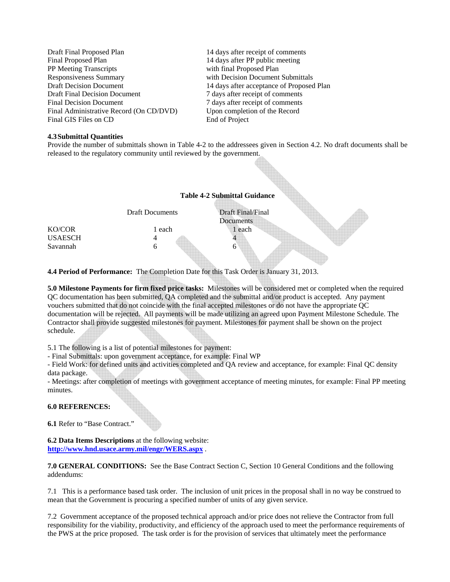| Draft Final Proposed Plan               | 14 days after receipt of comments         |
|-----------------------------------------|-------------------------------------------|
| Final Proposed Plan                     | 14 days after PP public meeting           |
| PP Meeting Transcripts                  | with final Proposed Plan                  |
| Responsiveness Summary                  | with Decision Document Submittals         |
| <b>Draft Decision Document</b>          | 14 days after acceptance of Proposed Plan |
| <b>Draft Final Decision Document</b>    | 7 days after receipt of comments          |
| <b>Final Decision Document</b>          | 7 days after receipt of comments          |
| Final Administrative Record (On CD/DVD) | Upon completion of the Record             |
| Final GIS Files on CD                   | End of Project                            |

#### **4.3 Submittal Quantities**

Provide the number of submittals shown in Table 4-2 to the addressees given in Section 4.2. No draft documents shall be released to the regulatory community until reviewed by the government.



**4.4 Period of Performance:** The Completion Date for this Task Order is January 31, 2013.

**5.0 Milestone Payments for firm fixed price tasks:** Milestones will be considered met or completed when the required QC documentation has been submitted, QA completed and the submittal and/or product is accepted. Any payment vouchers submitted that do not coincide with the final accepted milestones or do not have the appropriate QC documentation will be rejected. All payments will be made utilizing an agreed upon Payment Milestone Schedule. The Contractor shall provide suggested milestones for payment. Milestones for payment shall be shown on the project schedule.

5.1 The following is a list of potential milestones for payment:

- Final Submittals: upon government acceptance, for example: Final WP

- Field Work: for defined units and activities completed and QA review and acceptance, for example: Final QC density data package.

- Meetings: after completion of meetings with government acceptance of meeting minutes, for example: Final PP meeting minutes.

#### **6.0 REFERENCES:**

**6.1** Refer to "Base Contract."

**6.2 Data Items Descriptions** at the following website: **http://www.hnd.usace.army.mil/engr/WERS.aspx** .

**7.0 GENERAL CONDITIONS:** See the Base Contract Section C, Section 10 General Conditions and the following addendums:

7.1 This is a performance based task order. The inclusion of unit prices in the proposal shall in no way be construed to mean that the Government is procuring a specified number of units of any given service.

7.2 Government acceptance of the proposed technical approach and/or price does not relieve the Contractor from full responsibility for the viability, productivity, and efficiency of the approach used to meet the performance requirements of the PWS at the price proposed. The task order is for the provision of services that ultimately meet the performance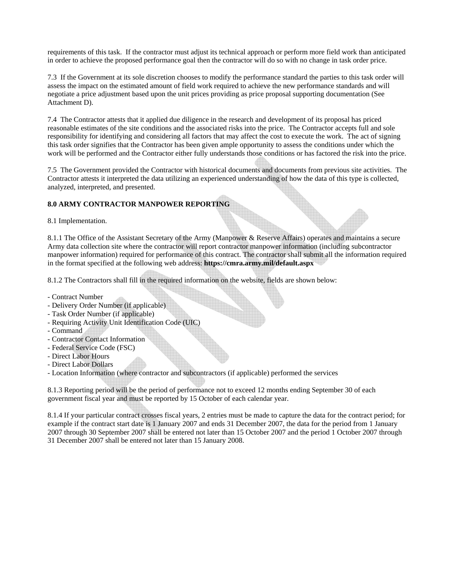requirements of this task. If the contractor must adjust its technical approach or perform more field work than anticipated in order to achieve the proposed performance goal then the contractor will do so with no change in task order price.

7.3 If the Government at its sole discretion chooses to modify the performance standard the parties to this task order will assess the impact on the estimated amount of field work required to achieve the new performance standards and will negotiate a price adjustment based upon the unit prices providing as price proposal supporting documentation (See Attachment D).

7.4 The Contractor attests that it applied due diligence in the research and development of its proposal has priced reasonable estimates of the site conditions and the associated risks into the price. The Contractor accepts full and sole responsibility for identifying and considering all factors that may affect the cost to execute the work. The act of signing this task order signifies that the Contractor has been given ample opportunity to assess the conditions under which the work will be performed and the Contractor either fully understands those conditions or has factored the risk into the price.

7.5 The Government provided the Contractor with historical documents and documents from previous site activities. The Contractor attests it interpreted the data utilizing an experienced understanding of how the data of this type is collected, analyzed, interpreted, and presented.

# **8.0 ARMY CONTRACTOR MANPOWER REPORTING**

8.1 Implementation.

8.1.1 The Office of the Assistant Secretary of the Army (Manpower & Reserve Affairs) operates and maintains a secure Army data collection site where the contractor will report contractor manpower information (including subcontractor manpower information) required for performance of this contract. The contractor shall submit all the information required in the format specified at the following web address: **https://cmra.army.mil/default.aspx**

8.1.2 The Contractors shall fill in the required information on the website, fields are shown below:

- Contract Number
- Delivery Order Number (if applicable)
- Task Order Number (if applicable)
- Requiring Activity Unit Identification Code (UIC)
- Command
- Contractor Contact Information
- Federal Service Code (FSC)
- Direct Labor Hours
- Direct Labor Dollars
- Location Information (where contractor and subcontractors (if applicable) performed the services

8.1.3 Reporting period will be the period of performance not to exceed 12 months ending September 30 of each government fiscal year and must be reported by 15 October of each calendar year.

8.1.4 If your particular contract crosses fiscal years, 2 entries must be made to capture the data for the contract period; for example if the contract start date is 1 January 2007 and ends 31 December 2007, the data for the period from 1 January 2007 through 30 September 2007 shall be entered not later than 15 October 2007 and the period 1 October 2007 through 31 December 2007 shall be entered not later than 15 January 2008.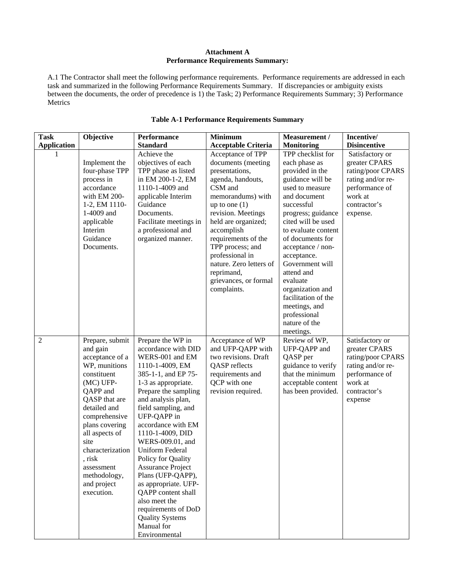#### **Attachment A Performance Requirements Summary:**

A.1 The Contractor shall meet the following performance requirements. Performance requirements are addressed in each task and summarized in the following Performance Requirements Summary. If discrepancies or ambiguity exists between the documents, the order of precedence is 1) the Task; 2) Performance Requirements Summary; 3) Performance Metrics

| <b>Task</b>        | Objective                                                                                                                                                                                                                                                                                    | <b>Performance</b>                                                                                                                                                                                                                                                                                                                                                                                                                                                                                                             | <b>Minimum</b>                                                                                                                                                                                                                                                                                                                              | <b>Measurement</b> /                                                                                                                                                                                                                                                                                                                                                                                         | Incentive/                                                                                                                          |
|--------------------|----------------------------------------------------------------------------------------------------------------------------------------------------------------------------------------------------------------------------------------------------------------------------------------------|--------------------------------------------------------------------------------------------------------------------------------------------------------------------------------------------------------------------------------------------------------------------------------------------------------------------------------------------------------------------------------------------------------------------------------------------------------------------------------------------------------------------------------|---------------------------------------------------------------------------------------------------------------------------------------------------------------------------------------------------------------------------------------------------------------------------------------------------------------------------------------------|--------------------------------------------------------------------------------------------------------------------------------------------------------------------------------------------------------------------------------------------------------------------------------------------------------------------------------------------------------------------------------------------------------------|-------------------------------------------------------------------------------------------------------------------------------------|
| <b>Application</b> |                                                                                                                                                                                                                                                                                              | <b>Standard</b>                                                                                                                                                                                                                                                                                                                                                                                                                                                                                                                | <b>Acceptable Criteria</b>                                                                                                                                                                                                                                                                                                                  | <b>Monitoring</b>                                                                                                                                                                                                                                                                                                                                                                                            | <b>Disincentive</b>                                                                                                                 |
|                    | Implement the<br>four-phase TPP<br>process in<br>accordance<br>with EM 200-<br>1-2, EM 1110-<br>1-4009 and<br>applicable<br>Interim<br>Guidance<br>Documents.                                                                                                                                | Achieve the<br>objectives of each<br>TPP phase as listed<br>in EM 200-1-2, EM<br>1110-1-4009 and<br>applicable Interim<br>Guidance<br>Documents.<br>Facilitate meetings in<br>a professional and<br>organized manner.                                                                                                                                                                                                                                                                                                          | Acceptance of TPP<br>documents (meeting<br>presentations,<br>agenda, handouts,<br>CSM and<br>memorandums) with<br>up to one $(1)$<br>revision. Meetings<br>held are organized;<br>accomplish<br>requirements of the<br>TPP process; and<br>professional in<br>nature. Zero letters of<br>reprimand,<br>grievances, or formal<br>complaints. | TPP checklist for<br>each phase as<br>provided in the<br>guidance will be<br>used to measure<br>and document<br>successful<br>progress; guidance<br>cited will be used<br>to evaluate content<br>of documents for<br>acceptance / non-<br>acceptance.<br>Government will<br>attend and<br>evaluate<br>organization and<br>facilitation of the<br>meetings, and<br>professional<br>nature of the<br>meetings. | Satisfactory or<br>greater CPARS<br>rating/poor CPARS<br>rating and/or re-<br>performance of<br>work at<br>contractor's<br>expense. |
| $\mathbf{2}$       | Prepare, submit<br>and gain<br>acceptance of a<br>WP, munitions<br>constituent<br>(MC) UFP-<br>QAPP and<br>QASP that are<br>detailed and<br>comprehensive<br>plans covering<br>all aspects of<br>site<br>characterization<br>risk<br>assessment<br>methodology,<br>and project<br>execution. | Prepare the WP in<br>accordance with DID<br>WERS-001 and EM<br>1110-1-4009, EM<br>385-1-1, and EP 75-<br>1-3 as appropriate.<br>Prepare the sampling<br>and analysis plan,<br>field sampling, and<br>UFP-QAPP in<br>accordance with EM<br>1110-1-4009, DID<br>WERS-009.01, and<br><b>Uniform Federal</b><br>Policy for Quality<br><b>Assurance Project</b><br>Plans (UFP-QAPP),<br>as appropriate. UFP-<br>QAPP content shall<br>also meet the<br>requirements of DoD<br><b>Quality Systems</b><br>Manual for<br>Environmental | Acceptance of WP<br>and UFP-QAPP with<br>two revisions. Draft<br>QASP reflects<br>requirements and<br>QCP with one<br>revision required.                                                                                                                                                                                                    | Review of WP,<br>UFP-QAPP and<br>QASP per<br>guidance to verify<br>that the minimum<br>acceptable content<br>has been provided.                                                                                                                                                                                                                                                                              | Satisfactory or<br>greater CPARS<br>rating/poor CPARS<br>rating and/or re-<br>performance of<br>work at<br>contractor's<br>expense  |

# **Table A-1 Performance Requirements Summary**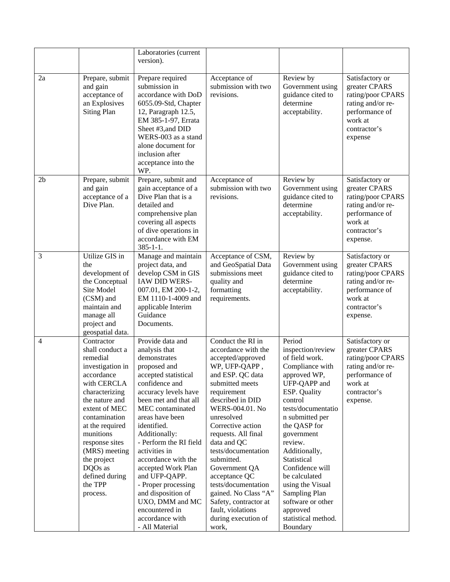|                |                                                                                                                                                                                                                                                                                                        | Laboratories (current<br>version).                                                                                                                                                                                                                                                                                                                                                                                                                                  |                                                                                                                                                                                                                                                                                                                                                                                                                                                          |                                                                                                                                                                                                                                                                                                                                                                                            |                                                                                                                                     |
|----------------|--------------------------------------------------------------------------------------------------------------------------------------------------------------------------------------------------------------------------------------------------------------------------------------------------------|---------------------------------------------------------------------------------------------------------------------------------------------------------------------------------------------------------------------------------------------------------------------------------------------------------------------------------------------------------------------------------------------------------------------------------------------------------------------|----------------------------------------------------------------------------------------------------------------------------------------------------------------------------------------------------------------------------------------------------------------------------------------------------------------------------------------------------------------------------------------------------------------------------------------------------------|--------------------------------------------------------------------------------------------------------------------------------------------------------------------------------------------------------------------------------------------------------------------------------------------------------------------------------------------------------------------------------------------|-------------------------------------------------------------------------------------------------------------------------------------|
| 2a             | Prepare, submit<br>and gain<br>acceptance of<br>an Explosives<br><b>Siting Plan</b>                                                                                                                                                                                                                    | Prepare required<br>submission in<br>accordance with DoD<br>6055.09-Std, Chapter<br>12, Paragraph 12.5,<br>EM 385-1-97, Errata<br>Sheet #3, and DID<br>WERS-003 as a stand<br>alone document for<br>inclusion after<br>acceptance into the<br>WP.                                                                                                                                                                                                                   | Acceptance of<br>submission with two<br>revisions.                                                                                                                                                                                                                                                                                                                                                                                                       | Review by<br>Government using<br>guidance cited to<br>determine<br>acceptability.                                                                                                                                                                                                                                                                                                          | Satisfactory or<br>greater CPARS<br>rating/poor CPARS<br>rating and/or re-<br>performance of<br>work at<br>contractor's<br>expense  |
| 2 <sub>b</sub> | Prepare, submit<br>and gain<br>acceptance of a<br>Dive Plan.                                                                                                                                                                                                                                           | Prepare, submit and<br>gain acceptance of a<br>Dive Plan that is a<br>detailed and<br>comprehensive plan<br>covering all aspects<br>of dive operations in<br>accordance with EM<br>$385 - 1 - 1$ .                                                                                                                                                                                                                                                                  | Acceptance of<br>submission with two<br>revisions.                                                                                                                                                                                                                                                                                                                                                                                                       | Review by<br>Government using<br>guidance cited to<br>determine<br>acceptability.                                                                                                                                                                                                                                                                                                          | Satisfactory or<br>greater CPARS<br>rating/poor CPARS<br>rating and/or re-<br>performance of<br>work at<br>contractor's<br>expense. |
| 3              | Utilize GIS in<br>the<br>development of<br>the Conceptual<br>Site Model<br>(CSM) and<br>maintain and<br>manage all<br>project and<br>geospatial data.                                                                                                                                                  | Manage and maintain<br>project data, and<br>develop CSM in GIS<br>IAW DID WERS-<br>007.01, EM 200-1-2,<br>EM 1110-1-4009 and<br>applicable Interim<br>Guidance<br>Documents.                                                                                                                                                                                                                                                                                        | Acceptance of CSM,<br>and GeoSpatial Data<br>submissions meet<br>quality and<br>formatting<br>requirements.                                                                                                                                                                                                                                                                                                                                              | Review by<br>Government using<br>guidance cited to<br>determine<br>acceptability.                                                                                                                                                                                                                                                                                                          | Satisfactory or<br>greater CPARS<br>rating/poor CPARS<br>rating and/or re-<br>performance of<br>work at<br>contractor's<br>expense. |
| 4              | Contractor<br>shall conduct a<br>remedial<br>investigation in<br>accordance<br>with CERCLA<br>characterizing<br>the nature and<br>extent of MEC<br>contamination<br>at the required<br>munitions<br>response sites<br>(MRS) meeting<br>the project<br>DQOs as<br>defined during<br>the TPP<br>process. | Provide data and<br>analysis that<br>demonstrates<br>proposed and<br>accepted statistical<br>confidence and<br>accuracy levels have<br>been met and that all<br>MEC contaminated<br>areas have been<br>identified.<br>Additionally:<br>- Perform the RI field<br>activities in<br>accordance with the<br>accepted Work Plan<br>and UFP-QAPP.<br>- Proper processing<br>and disposition of<br>UXO, DMM and MC<br>encountered in<br>accordance with<br>- All Material | Conduct the RI in<br>accordance with the<br>accepted/approved<br>WP, UFP-QAPP,<br>and ESP. QC data<br>submitted meets<br>requirement<br>described in DID<br>WERS-004.01. No<br>unresolved<br>Corrective action<br>requests. All final<br>data and QC<br>tests/documentation<br>submitted.<br>Government QA<br>acceptance QC<br>tests/documentation<br>gained. No Class "A"<br>Safety, contractor at<br>fault, violations<br>during execution of<br>work, | Period<br>inspection/review<br>of field work.<br>Compliance with<br>approved WP,<br>UFP-QAPP and<br>ESP. Quality<br>control<br>tests/documentatio<br>n submitted per<br>the QASP for<br>government<br>review.<br>Additionally,<br>Statistical<br>Confidence will<br>be calculated<br>using the Visual<br>Sampling Plan<br>software or other<br>approved<br>statistical method.<br>Boundary | Satisfactory or<br>greater CPARS<br>rating/poor CPARS<br>rating and/or re-<br>performance of<br>work at<br>contractor's<br>expense. |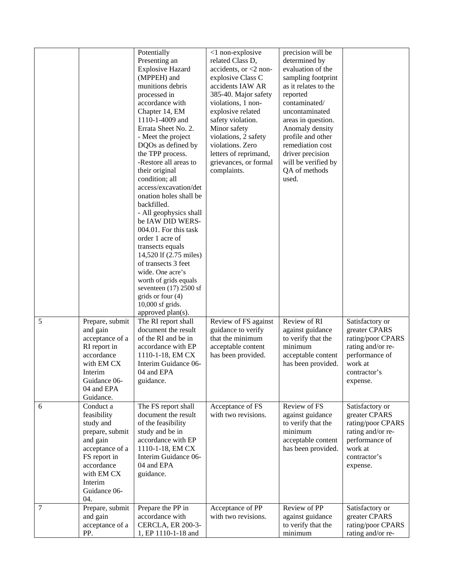|   |                                                                                                                                                                       | Potentially<br>Presenting an<br><b>Explosive Hazard</b><br>(MPPEH) and<br>munitions debris<br>processed in<br>accordance with<br>Chapter 14, EM<br>1110-1-4009 and<br>Errata Sheet No. 2.<br>- Meet the project<br>DQOs as defined by<br>the TPP process.<br>-Restore all areas to<br>their original<br>condition; all<br>access/excavation/det<br>onation holes shall be<br>backfilled.<br>- All geophysics shall<br>be IAW DID WERS-<br>004.01. For this task<br>order 1 acre of<br>transects equals<br>14,520 lf (2.75 miles)<br>of transects 3 feet<br>wide. One acre's<br>worth of grids equals<br>seventeen $(17)$ 2500 sf<br>grids or four (4)<br>10,000 sf grids.<br>approved plan(s). | <1 non-explosive<br>related Class D,<br>accidents, or $<$ 2 non-<br>explosive Class C<br>accidents IAW AR<br>385-40. Major safety<br>violations, 1 non-<br>explosive related<br>safety violation.<br>Minor safety<br>violations, 2 safety<br>violations. Zero<br>letters of reprimand,<br>grievances, or formal<br>complaints. | precision will be<br>determined by<br>evaluation of the<br>sampling footprint<br>as it relates to the<br>reported<br>contaminated/<br>uncontaminated<br>areas in question.<br>Anomaly density<br>profile and other<br>remediation cost<br>driver precision<br>will be verified by<br>QA of methods<br>used. |                                                                                                                                     |
|---|-----------------------------------------------------------------------------------------------------------------------------------------------------------------------|------------------------------------------------------------------------------------------------------------------------------------------------------------------------------------------------------------------------------------------------------------------------------------------------------------------------------------------------------------------------------------------------------------------------------------------------------------------------------------------------------------------------------------------------------------------------------------------------------------------------------------------------------------------------------------------------|--------------------------------------------------------------------------------------------------------------------------------------------------------------------------------------------------------------------------------------------------------------------------------------------------------------------------------|-------------------------------------------------------------------------------------------------------------------------------------------------------------------------------------------------------------------------------------------------------------------------------------------------------------|-------------------------------------------------------------------------------------------------------------------------------------|
| 5 | Prepare, submit<br>and gain<br>acceptance of a<br>RI report in<br>accordance<br>with EM CX<br>Interim<br>Guidance 06-<br>04 and EPA<br>Guidance.                      | The RI report shall<br>document the result<br>of the RI and be in<br>accordance with EP<br>1110-1-18, EM CX<br>Interim Guidance 06-<br>04 and EPA<br>guidance.                                                                                                                                                                                                                                                                                                                                                                                                                                                                                                                                 | Review of FS against<br>guidance to verify<br>that the minimum<br>acceptable content<br>has been provided.                                                                                                                                                                                                                     | Review of RI<br>against guidance<br>to verify that the<br>minimum<br>acceptable content<br>has been provided.                                                                                                                                                                                               | Satisfactory or<br>greater CPARS<br>rating/poor CPARS<br>rating and/or re-<br>performance of<br>work at<br>contractor's<br>expense. |
| 6 | Conduct a<br>feasibility<br>study and<br>prepare, submit<br>and gain<br>acceptance of a<br>FS report in<br>accordance<br>with EM CX<br>Interim<br>Guidance 06-<br>04. | The FS report shall<br>document the result<br>of the feasibility<br>study and be in<br>accordance with EP<br>1110-1-18, EM CX<br>Interim Guidance 06-<br>04 and EPA<br>guidance.                                                                                                                                                                                                                                                                                                                                                                                                                                                                                                               | Acceptance of FS<br>with two revisions.                                                                                                                                                                                                                                                                                        | Review of FS<br>against guidance<br>to verify that the<br>minimum<br>acceptable content<br>has been provided.                                                                                                                                                                                               | Satisfactory or<br>greater CPARS<br>rating/poor CPARS<br>rating and/or re-<br>performance of<br>work at<br>contractor's<br>expense. |
| 7 | Prepare, submit<br>and gain<br>acceptance of a<br>PP.                                                                                                                 | Prepare the PP in<br>accordance with<br><b>CERCLA, ER 200-3-</b><br>1, EP 1110-1-18 and                                                                                                                                                                                                                                                                                                                                                                                                                                                                                                                                                                                                        | Acceptance of PP<br>with two revisions.                                                                                                                                                                                                                                                                                        | Review of PP<br>against guidance<br>to verify that the<br>minimum                                                                                                                                                                                                                                           | Satisfactory or<br>greater CPARS<br>rating/poor CPARS<br>rating and/or re-                                                          |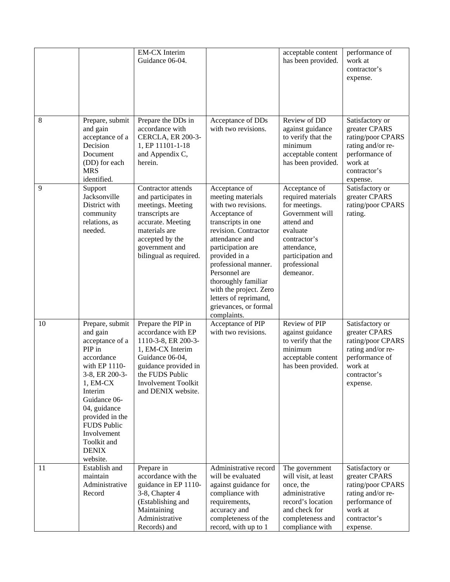|    |                                                                                                                                                                                                                                                                       | <b>EM-CX</b> Interim<br>Guidance 06-04.                                                                                                                                                        |                                                                                                                                                                                                                                                                                                                                             | acceptable content<br>has been provided.                                                                                                                                           | performance of<br>work at<br>contractor's<br>expense.                                                                               |
|----|-----------------------------------------------------------------------------------------------------------------------------------------------------------------------------------------------------------------------------------------------------------------------|------------------------------------------------------------------------------------------------------------------------------------------------------------------------------------------------|---------------------------------------------------------------------------------------------------------------------------------------------------------------------------------------------------------------------------------------------------------------------------------------------------------------------------------------------|------------------------------------------------------------------------------------------------------------------------------------------------------------------------------------|-------------------------------------------------------------------------------------------------------------------------------------|
| 8  | Prepare, submit<br>and gain<br>acceptance of a<br>Decision<br>Document<br>(DD) for each<br><b>MRS</b><br>identified.                                                                                                                                                  | Prepare the DDs in<br>accordance with<br><b>CERCLA, ER 200-3-</b><br>1, EP 11101-1-18<br>and Appendix C,<br>herein.                                                                            | Acceptance of DDs<br>with two revisions.                                                                                                                                                                                                                                                                                                    | Review of DD<br>against guidance<br>to verify that the<br>minimum<br>acceptable content<br>has been provided.                                                                      | Satisfactory or<br>greater CPARS<br>rating/poor CPARS<br>rating and/or re-<br>performance of<br>work at<br>contractor's<br>expense. |
| 9  | Support<br>Jacksonville<br>District with<br>community<br>relations, as<br>needed.                                                                                                                                                                                     | Contractor attends<br>and participates in<br>meetings. Meeting<br>transcripts are<br>accurate. Meeting<br>materials are<br>accepted by the<br>government and<br>bilingual as required.         | Acceptance of<br>meeting materials<br>with two revisions.<br>Acceptance of<br>transcripts in one<br>revision. Contractor<br>attendance and<br>participation are<br>provided in a<br>professional manner.<br>Personnel are<br>thoroughly familiar<br>with the project. Zero<br>letters of reprimand,<br>grievances, or formal<br>complaints. | Acceptance of<br>required materials<br>for meetings.<br>Government will<br>attend and<br>evaluate<br>contractor's<br>attendance,<br>participation and<br>professional<br>demeanor. | Satisfactory or<br>greater CPARS<br>rating/poor CPARS<br>rating.                                                                    |
| 10 | Prepare, submit<br>and gain<br>acceptance of a<br>PIP in<br>accordance<br>with EP 1110-<br>3-8, ER 200-3-<br>$1, EM-CX$<br>Interim<br>Guidance 06-<br>04, guidance<br>provided in the<br><b>FUDS Public</b><br>Involvement<br>Toolkit and<br><b>DENIX</b><br>website. | Prepare the PIP in<br>accordance with EP<br>1110-3-8, ER 200-3-<br>1, EM-CX Interim<br>Guidance 06-04,<br>guidance provided in<br>the FUDS Public<br>Involvement Toolkit<br>and DENIX website. | Acceptance of PIP<br>with two revisions.                                                                                                                                                                                                                                                                                                    | Review of PIP<br>against guidance<br>to verify that the<br>minimum<br>acceptable content<br>has been provided.                                                                     | Satisfactory or<br>greater CPARS<br>rating/poor CPARS<br>rating and/or re-<br>performance of<br>work at<br>contractor's<br>expense. |
| 11 | Establish and<br>maintain<br>Administrative<br>Record                                                                                                                                                                                                                 | Prepare in<br>accordance with the<br>guidance in EP 1110-<br>3-8, Chapter 4<br>(Establishing and<br>Maintaining<br>Administrative<br>Records) and                                              | Administrative record<br>will be evaluated<br>against guidance for<br>compliance with<br>requirements,<br>accuracy and<br>completeness of the<br>record, with up to 1                                                                                                                                                                       | The government<br>will visit, at least<br>once, the<br>administrative<br>record's location<br>and check for<br>completeness and<br>compliance with                                 | Satisfactory or<br>greater CPARS<br>rating/poor CPARS<br>rating and/or re-<br>performance of<br>work at<br>contractor's<br>expense. |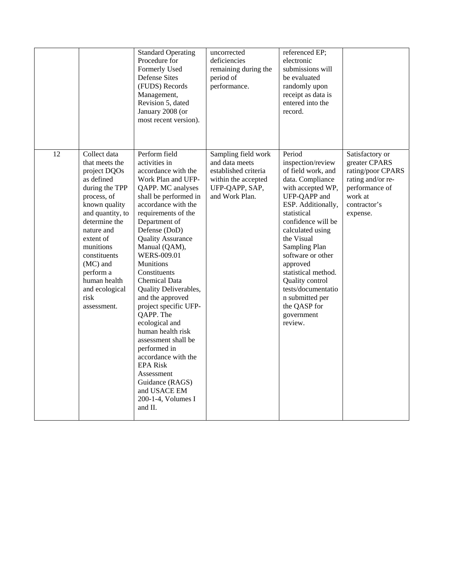|    |                                                                                                                                                                                                                                                                                               | <b>Standard Operating</b><br>Procedure for<br>Formerly Used<br><b>Defense Sites</b><br>(FUDS) Records<br>Management,<br>Revision 5, dated<br>January 2008 (or<br>most recent version).                                                                                                                                                                                                                                                                                                                                                                                                                                                | uncorrected<br>deficiencies<br>remaining during the<br>period of<br>performance.                                         | referenced EP;<br>electronic<br>submissions will<br>be evaluated<br>randomly upon<br>receipt as data is<br>entered into the<br>record.                                                                                                                                                                                                                                                |                                                                                                                                     |
|----|-----------------------------------------------------------------------------------------------------------------------------------------------------------------------------------------------------------------------------------------------------------------------------------------------|---------------------------------------------------------------------------------------------------------------------------------------------------------------------------------------------------------------------------------------------------------------------------------------------------------------------------------------------------------------------------------------------------------------------------------------------------------------------------------------------------------------------------------------------------------------------------------------------------------------------------------------|--------------------------------------------------------------------------------------------------------------------------|---------------------------------------------------------------------------------------------------------------------------------------------------------------------------------------------------------------------------------------------------------------------------------------------------------------------------------------------------------------------------------------|-------------------------------------------------------------------------------------------------------------------------------------|
| 12 | Collect data<br>that meets the<br>project DQOs<br>as defined<br>during the TPP<br>process, of<br>known quality<br>and quantity, to<br>determine the<br>nature and<br>extent of<br>munitions<br>constituents<br>(MC) and<br>perform a<br>human health<br>and ecological<br>risk<br>assessment. | Perform field<br>activities in<br>accordance with the<br>Work Plan and UFP-<br>QAPP. MC analyses<br>shall be performed in<br>accordance with the<br>requirements of the<br>Department of<br>Defense (DoD)<br><b>Quality Assurance</b><br>Manual (QAM),<br><b>WERS-009.01</b><br><b>Munitions</b><br>Constituents<br><b>Chemical Data</b><br>Quality Deliverables,<br>and the approved<br>project specific UFP-<br>QAPP. The<br>ecological and<br>human health risk<br>assessment shall be<br>performed in<br>accordance with the<br><b>EPA Risk</b><br>Assessment<br>Guidance (RAGS)<br>and USACE EM<br>200-1-4, Volumes I<br>and II. | Sampling field work<br>and data meets<br>established criteria<br>within the accepted<br>UFP-QAPP, SAP,<br>and Work Plan. | Period<br>inspection/review<br>of field work, and<br>data. Compliance<br>with accepted WP,<br>UFP-QAPP and<br>ESP. Additionally,<br>statistical<br>confidence will be<br>calculated using<br>the Visual<br>Sampling Plan<br>software or other<br>approved<br>statistical method.<br>Quality control<br>tests/documentatio<br>n submitted per<br>the QASP for<br>government<br>review. | Satisfactory or<br>greater CPARS<br>rating/poor CPARS<br>rating and/or re-<br>performance of<br>work at<br>contractor's<br>expense. |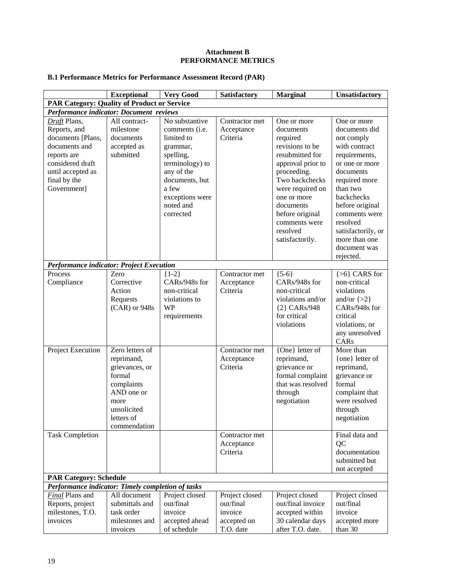#### **Attachment B PERFORMANCE METRICS**

# **B.1 Performance Metrics for Performance Assessment Record (PAR)**

|                                                                                                                                                           | <b>Exceptional</b>                                                                                                                         | <b>Very Good</b>                                                                                                                                                                         | Satisfactory                                                       | <b>Marginal</b>                                                                                                                                                                                                                                     | Unsatisfactory                                                                                                                                                                                                                                                             |
|-----------------------------------------------------------------------------------------------------------------------------------------------------------|--------------------------------------------------------------------------------------------------------------------------------------------|------------------------------------------------------------------------------------------------------------------------------------------------------------------------------------------|--------------------------------------------------------------------|-----------------------------------------------------------------------------------------------------------------------------------------------------------------------------------------------------------------------------------------------------|----------------------------------------------------------------------------------------------------------------------------------------------------------------------------------------------------------------------------------------------------------------------------|
| <b>PAR Category: Quality of Product or Service</b>                                                                                                        |                                                                                                                                            |                                                                                                                                                                                          |                                                                    |                                                                                                                                                                                                                                                     |                                                                                                                                                                                                                                                                            |
| Performance indicator: Document reviews                                                                                                                   |                                                                                                                                            |                                                                                                                                                                                          |                                                                    |                                                                                                                                                                                                                                                     |                                                                                                                                                                                                                                                                            |
| Draft Plans,<br>Reports, and<br>documents [Plans,<br>documents and<br>reports are<br>considered draft<br>until accepted as<br>final by the<br>Government] | All contract-<br>milestone<br>documents<br>accepted as<br>submitted                                                                        | No substantive<br>comments ( <i>i.e.</i><br>limited to<br>grammar,<br>spelling,<br>terminology) to<br>any of the<br>documents, but<br>a few<br>exceptions were<br>noted and<br>corrected | Contractor met<br>Acceptance<br>Criteria                           | One or more<br>documents<br>required<br>revisions to be<br>resubmitted for<br>approval prior to<br>proceeding.<br>Two backchecks<br>were required on<br>one or more<br>documents<br>before original<br>comments were<br>resolved<br>satisfactorily. | One or more<br>documents did<br>not comply<br>with contract<br>requirements,<br>or one or more<br>documents<br>required more<br>than two<br>backchecks<br>before original<br>comments were<br>resolved<br>satisfactorily, or<br>more than one<br>document was<br>rejected. |
| <b>Performance indicator: Project Execution</b>                                                                                                           |                                                                                                                                            |                                                                                                                                                                                          |                                                                    |                                                                                                                                                                                                                                                     |                                                                                                                                                                                                                                                                            |
| Process<br>Compliance                                                                                                                                     | Zero<br>Corrective<br>Action<br>Requests<br>(CAR) or 948s                                                                                  | ${1-2}$<br>CARs/948s for<br>non-critical<br>violations to<br><b>WP</b><br>requirements                                                                                                   | Contractor met<br>Acceptance<br>Criteria                           | ${5-6}$<br>CARs/948s for<br>non-critical<br>violations and/or<br>{2} CARs/948<br>for critical<br>violations                                                                                                                                         | ${>6}$ CARS for<br>non-critical<br>violations<br>and/or $\{>2\}$<br>CARs/948s for<br>critical<br>violations, or<br>any unresolved<br>CARs                                                                                                                                  |
| Project Execution                                                                                                                                         | Zero letters of<br>reprimand,<br>grievances, or<br>formal<br>complaints<br>AND one or<br>more<br>unsolicited<br>letters of<br>commendation |                                                                                                                                                                                          | Contractor met<br>Acceptance<br>Criteria                           | {One} letter of<br>reprimand,<br>grievance or<br>formal complaint<br>that was resolved<br>through<br>negotiation                                                                                                                                    | More than<br>{one} letter of<br>reprimand,<br>grievance or<br>formal<br>complaint that<br>were resolved<br>through<br>negotiation                                                                                                                                          |
| <b>Task Completion</b>                                                                                                                                    |                                                                                                                                            |                                                                                                                                                                                          | Contractor met<br>Acceptance<br>Criteria                           |                                                                                                                                                                                                                                                     | Final data and<br>QC<br>documentation<br>submitted but<br>not accepted                                                                                                                                                                                                     |
| <b>PAR Category: Schedule</b>                                                                                                                             |                                                                                                                                            |                                                                                                                                                                                          |                                                                    |                                                                                                                                                                                                                                                     |                                                                                                                                                                                                                                                                            |
| Performance indicator: Timely completion of tasks                                                                                                         |                                                                                                                                            |                                                                                                                                                                                          |                                                                    |                                                                                                                                                                                                                                                     |                                                                                                                                                                                                                                                                            |
| <b>Final</b> Plans and<br>Reports, project<br>milestones, T.O.<br>invoices                                                                                | All document<br>submittals and<br>task order<br>milestones and<br>invoices                                                                 | Project closed<br>out/final<br>invoice<br>accepted ahead<br>of schedule                                                                                                                  | Project closed<br>out/final<br>invoice<br>accepted on<br>T.O. date | Project closed<br>out/final invoice<br>accepted within<br>30 calendar days<br>after T.O. date.                                                                                                                                                      | Project closed<br>out/final<br>invoice<br>accepted more<br>than 30                                                                                                                                                                                                         |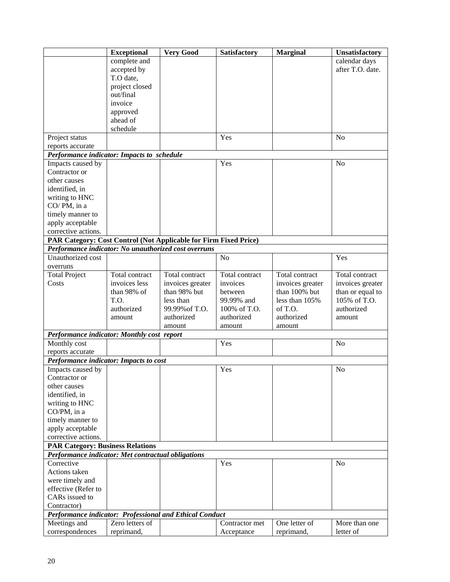|                                                                  | <b>Exceptional</b>                                                                            | <b>Very Good</b> | <b>Satisfactory</b> | <b>Marginal</b>  | <b>Unsatisfactory</b> |
|------------------------------------------------------------------|-----------------------------------------------------------------------------------------------|------------------|---------------------|------------------|-----------------------|
|                                                                  | complete and                                                                                  |                  |                     |                  | calendar days         |
|                                                                  | accepted by                                                                                   |                  |                     |                  | after T.O. date.      |
|                                                                  | T.O date,                                                                                     |                  |                     |                  |                       |
|                                                                  | project closed                                                                                |                  |                     |                  |                       |
|                                                                  | out/final                                                                                     |                  |                     |                  |                       |
|                                                                  | invoice                                                                                       |                  |                     |                  |                       |
|                                                                  | approved                                                                                      |                  |                     |                  |                       |
|                                                                  | ahead of                                                                                      |                  |                     |                  |                       |
|                                                                  | schedule                                                                                      |                  |                     |                  |                       |
| Project status                                                   |                                                                                               |                  | Yes                 |                  | N <sub>o</sub>        |
| reports accurate                                                 |                                                                                               |                  |                     |                  |                       |
| Performance indicator: Impacts to schedule                       |                                                                                               |                  |                     |                  |                       |
| Impacts caused by                                                |                                                                                               |                  | Yes                 |                  | N <sub>o</sub>        |
| Contractor or                                                    |                                                                                               |                  |                     |                  |                       |
| other causes                                                     |                                                                                               |                  |                     |                  |                       |
| identified, in                                                   |                                                                                               |                  |                     |                  |                       |
| writing to HNC                                                   |                                                                                               |                  |                     |                  |                       |
| CO/PM, in a                                                      |                                                                                               |                  |                     |                  |                       |
| timely manner to                                                 |                                                                                               |                  |                     |                  |                       |
| apply acceptable                                                 |                                                                                               |                  |                     |                  |                       |
| corrective actions.                                              |                                                                                               |                  |                     |                  |                       |
| PAR Category: Cost Control (Not Applicable for Firm Fixed Price) |                                                                                               |                  |                     |                  |                       |
| Performance indicator: No unauthorized cost overruns             |                                                                                               |                  |                     |                  |                       |
| Unauthorized cost                                                |                                                                                               |                  | N <sub>o</sub>      |                  | Yes                   |
| overruns                                                         |                                                                                               |                  |                     |                  |                       |
| <b>Total Project</b>                                             | Total contract                                                                                | Total contract   | Total contract      | Total contract   | Total contract        |
| Costs                                                            | invoices less                                                                                 | invoices greater | invoices            | invoices greater | invoices greater      |
|                                                                  | than 98% of                                                                                   | than 98% but     | between             | than 100% but    | than or equal to      |
|                                                                  | T.O.                                                                                          | less than        | 99.99% and          | less than 105%   | 105% of T.O.          |
|                                                                  | authorized                                                                                    | 99.99% of T.O.   | 100% of T.O.        | of T.O.          | authorized            |
|                                                                  | amount                                                                                        | authorized       | authorized          | authorized       | amount                |
|                                                                  |                                                                                               | amount           | amount              | amount           |                       |
| Performance indicator: Monthly cost report                       |                                                                                               |                  |                     |                  |                       |
| Monthly cost                                                     |                                                                                               |                  | Yes                 |                  | No                    |
| reports accurate                                                 |                                                                                               |                  |                     |                  |                       |
| Performance indicator: Impacts to cost                           |                                                                                               |                  |                     |                  |                       |
| Impacts caused by                                                |                                                                                               |                  | Yes                 |                  | N <sub>o</sub>        |
| Contractor or                                                    |                                                                                               |                  |                     |                  |                       |
| other causes                                                     |                                                                                               |                  |                     |                  |                       |
| identified, in                                                   |                                                                                               |                  |                     |                  |                       |
| writing to HNC                                                   |                                                                                               |                  |                     |                  |                       |
| CO/PM, in a                                                      |                                                                                               |                  |                     |                  |                       |
| timely manner to                                                 |                                                                                               |                  |                     |                  |                       |
| apply acceptable                                                 |                                                                                               |                  |                     |                  |                       |
| corrective actions.                                              |                                                                                               |                  |                     |                  |                       |
|                                                                  | <b>PAR Category: Business Relations</b><br>Performance indicator: Met contractual obligations |                  |                     |                  |                       |
| Corrective                                                       |                                                                                               |                  | Yes                 |                  | N <sub>o</sub>        |
| Actions taken                                                    |                                                                                               |                  |                     |                  |                       |
| were timely and                                                  |                                                                                               |                  |                     |                  |                       |
| effective (Refer to                                              |                                                                                               |                  |                     |                  |                       |
| CARs issued to                                                   |                                                                                               |                  |                     |                  |                       |
| Contractor)                                                      |                                                                                               |                  |                     |                  |                       |
| Performance indicator: Professional and Ethical Conduct          |                                                                                               |                  |                     |                  |                       |
| Meetings and                                                     | Zero letters of                                                                               |                  | Contractor met      | One letter of    | More than one         |
| correspondences                                                  | reprimand,                                                                                    |                  | Acceptance          | reprimand,       | letter of             |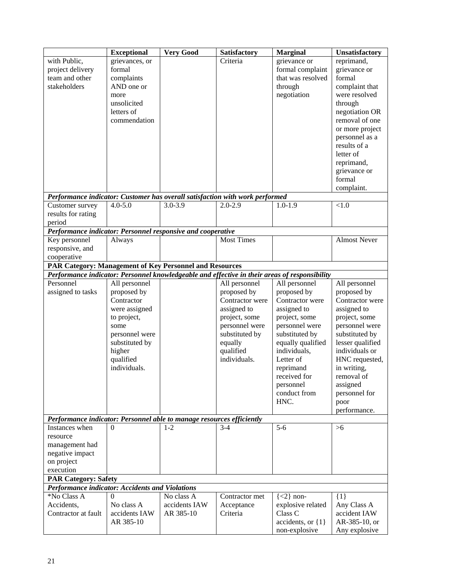|                                                                              | <b>Exceptional</b>           | <b>Very Good</b> | Satisfactory                   | <b>Marginal</b>                                                                               | Unsatisfactory                 |
|------------------------------------------------------------------------------|------------------------------|------------------|--------------------------------|-----------------------------------------------------------------------------------------------|--------------------------------|
| with Public,                                                                 | grievances, or               |                  | Criteria                       | grievance or                                                                                  | reprimand,                     |
| project delivery                                                             | formal                       |                  |                                | formal complaint                                                                              | grievance or                   |
| team and other                                                               | complaints                   |                  |                                | that was resolved                                                                             | formal                         |
| stakeholders                                                                 | AND one or                   |                  |                                | through                                                                                       | complaint that                 |
|                                                                              | more                         |                  |                                | negotiation                                                                                   | were resolved                  |
|                                                                              | unsolicited                  |                  |                                |                                                                                               | through                        |
|                                                                              | letters of                   |                  |                                |                                                                                               | negotiation OR                 |
|                                                                              | commendation                 |                  |                                |                                                                                               | removal of one                 |
|                                                                              |                              |                  |                                |                                                                                               | or more project                |
|                                                                              |                              |                  |                                |                                                                                               | personnel as a                 |
|                                                                              |                              |                  |                                |                                                                                               | results of a                   |
|                                                                              |                              |                  |                                |                                                                                               | letter of                      |
|                                                                              |                              |                  |                                |                                                                                               | reprimand,                     |
|                                                                              |                              |                  |                                |                                                                                               | grievance or                   |
|                                                                              |                              |                  |                                |                                                                                               | formal                         |
|                                                                              |                              |                  |                                |                                                                                               | complaint.                     |
| Performance indicator: Customer has overall satisfaction with work performed |                              |                  |                                |                                                                                               |                                |
| Customer survey                                                              | $4.0 - 5.0$                  | $3.0 - 3.9$      | $2.0 - 2.9$                    | $1.0 - 1.9$                                                                                   | < 1.0                          |
| results for rating                                                           |                              |                  |                                |                                                                                               |                                |
| period                                                                       |                              |                  |                                |                                                                                               |                                |
| Performance indicator: Personnel responsive and cooperative                  |                              |                  |                                |                                                                                               |                                |
| Key personnel                                                                | Always                       |                  | <b>Most Times</b>              |                                                                                               | <b>Almost Never</b>            |
| responsive, and                                                              |                              |                  |                                |                                                                                               |                                |
| cooperative                                                                  |                              |                  |                                |                                                                                               |                                |
| PAR Category: Management of Key Personnel and Resources                      |                              |                  |                                |                                                                                               |                                |
|                                                                              |                              |                  |                                | Performance indicator: Personnel knowledgeable and effective in their areas of responsibility |                                |
| Personnel                                                                    | All personnel                |                  | All personnel                  | All personnel                                                                                 | All personnel                  |
| assigned to tasks                                                            | proposed by<br>Contractor    |                  | proposed by<br>Contractor were | proposed by<br>Contractor were                                                                | proposed by<br>Contractor were |
|                                                                              |                              |                  | assigned to                    | assigned to                                                                                   |                                |
|                                                                              | were assigned<br>to project, |                  | project, some                  | project, some                                                                                 | assigned to<br>project, some   |
|                                                                              | some                         |                  | personnel were                 | personnel were                                                                                | personnel were                 |
|                                                                              | personnel were               |                  | substituted by                 | substituted by                                                                                | substituted by                 |
|                                                                              | substituted by               |                  | equally                        | equally qualified                                                                             | lesser qualified               |
|                                                                              | higher                       |                  | qualified                      | individuals,                                                                                  | individuals or                 |
|                                                                              | qualified                    |                  | individuals.                   | Letter of                                                                                     | HNC requested,                 |
|                                                                              | individuals.                 |                  |                                | reprimand                                                                                     |                                |
|                                                                              |                              |                  |                                | received for                                                                                  | in writing,                    |
|                                                                              |                              |                  |                                |                                                                                               | removal of                     |
|                                                                              |                              |                  |                                | personnel<br>conduct from                                                                     | assigned<br>personnel for      |
|                                                                              |                              |                  |                                | HNC.                                                                                          |                                |
|                                                                              |                              |                  |                                |                                                                                               | poor<br>performance.           |
| Performance indicator: Personnel able to manage resources efficiently        |                              |                  |                                |                                                                                               |                                |
| Instances when                                                               | $\Omega$                     | $1 - 2$          | $3 - 4$                        | $5 - 6$                                                                                       | $>6$                           |
| resource                                                                     |                              |                  |                                |                                                                                               |                                |
| management had                                                               |                              |                  |                                |                                                                                               |                                |
| negative impact                                                              |                              |                  |                                |                                                                                               |                                |
| on project                                                                   |                              |                  |                                |                                                                                               |                                |
| execution                                                                    |                              |                  |                                |                                                                                               |                                |
| <b>PAR Category: Safety</b>                                                  |                              |                  |                                |                                                                                               |                                |
| <b>Performance indicator: Accidents and Violations</b>                       |                              |                  |                                |                                                                                               |                                |
| *No Class A                                                                  | $^{(1)}$                     | No class A       | Contractor met                 | $\{<2\}$ non-                                                                                 | $\{1\}$                        |
| Accidents,                                                                   | No class A                   | accidents IAW    | Acceptance                     | explosive related                                                                             | Any Class A                    |
| Contractor at fault                                                          | accidents IAW                | AR 385-10        | Criteria                       | Class C                                                                                       | accident IAW                   |
|                                                                              | AR 385-10                    |                  |                                | accidents, or $\{1\}$                                                                         | AR-385-10, or                  |
|                                                                              |                              |                  |                                | non-explosive                                                                                 | Any explosive                  |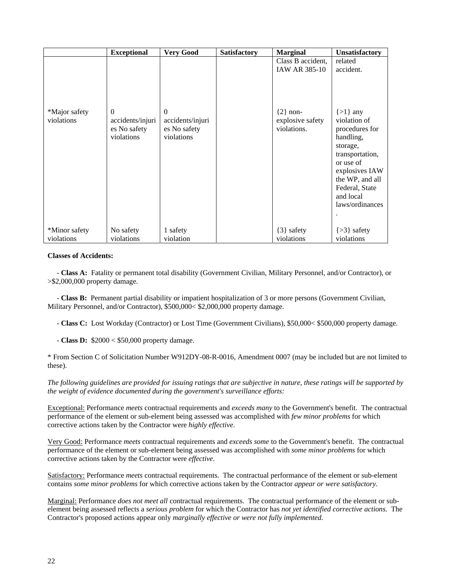|                             | <b>Exceptional</b>                                         | <b>Very Good</b>                                           | <b>Satisfactory</b> | <b>Marginal</b>                                                                              | Unsatisfactory                                                                                                                                                                                                         |
|-----------------------------|------------------------------------------------------------|------------------------------------------------------------|---------------------|----------------------------------------------------------------------------------------------|------------------------------------------------------------------------------------------------------------------------------------------------------------------------------------------------------------------------|
| *Major safety<br>violations | $\Omega$<br>accidents/injuri<br>es No safety<br>violations | $\Omega$<br>accidents/injuri<br>es No safety<br>violations |                     | Class B accident,<br><b>IAW AR 385-10</b><br>$\{2\}$ non-<br>explosive safety<br>violations. | related<br>accident.<br>$\{>1\}$ any<br>violation of<br>procedures for<br>handling,<br>storage,<br>transportation,<br>or use of<br>explosives IAW<br>the WP, and all<br>Federal, State<br>and local<br>laws/ordinances |
| *Minor safety<br>violations | No safety<br>violations                                    | 1 safety<br>violation                                      |                     | ${3}$ safety<br>violations                                                                   | $\{>3\}$ safety<br>violations                                                                                                                                                                                          |

#### **Classes of Accidents:**

 - **Class A:** Fatality or permanent total disability (Government Civilian, Military Personnel, and/or Contractor), or >\$2,000,000 property damage.

 - **Class B:** Permanent partial disability or impatient hospitalization of 3 or more persons (Government Civilian, Military Personnel, and/or Contractor), \$500,000< \$2,000,000 property damage.

- **Class C:** Lost Workday (Contractor) or Lost Time (Government Civilians), \$50,000< \$500,000 property damage.

- **Class D:** \$2000 < \$50,000 property damage.

\* From Section C of Solicitation Number W912DY-08-R-0016, Amendment 0007 (may be included but are not limited to these).

*The following guidelines are provided for issuing ratings that are subjective in nature, these ratings will be supported by the weight of evidence documented during the government's surveillance efforts:* 

Exceptional: Performance *meets* contractual requirements and *exceeds many* to the Government's benefit. The contractual performance of the element or sub-element being assessed was accomplished with *few minor problems* for which corrective actions taken by the Contractor were *highly effective*.

Very Good: Performance *meets* contractual requirements and *exceeds some* to the Government's benefit. The contractual performance of the element or sub-element being assessed was accomplished with *some minor problems* for which corrective actions taken by the Contractor were *effective*.

Satisfactory: Performance *meets* contractual requirements. The contractual performance of the element or sub-element contains *some minor problems* for which corrective actions taken by the Contractor *appear or were satisfactory*.

Marginal: Performance *does not meet all* contractual requirements. The contractual performance of the element or subelement being assessed reflects a *serious problem* for which the Contractor has *not yet identified corrective actions*. The Contractor's proposed actions appear only *marginally effective or were not fully implemented*.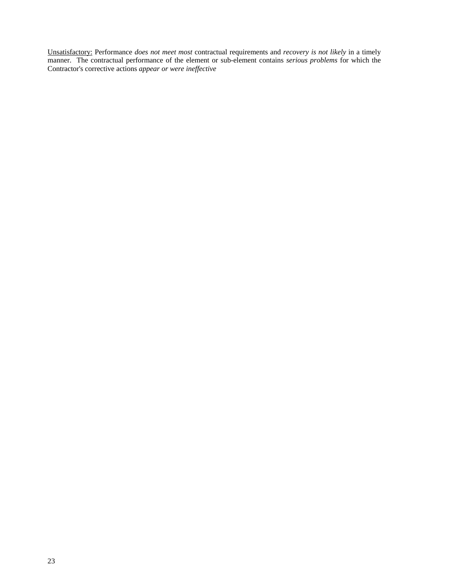Unsatisfactory: Performance *does not meet most* contractual requirements and *recovery is not likely* in a timely manner. The contractual performance of the element or sub-element contains *serious problems* for which the Contractor's corrective actions *appear or were ineffective*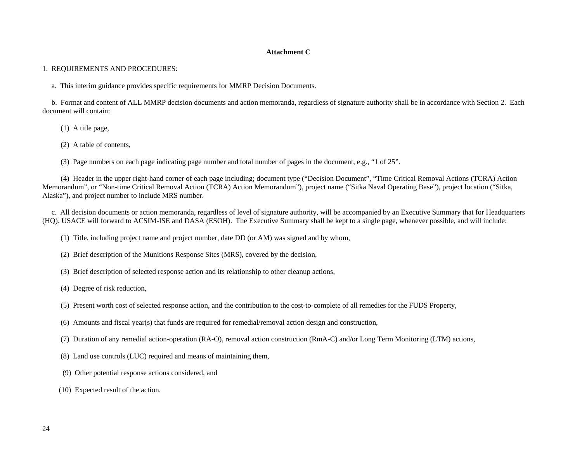#### **Attachment C**

1. REQUIREMENTS AND PROCEDURES:

a. This interim guidance provides specific requirements for MMRP Decision Documents.

 b. Format and content of ALL MMRP decision documents and action memoranda, regardless of signature authority shall be in accordance with Section 2. Each document will contain:

(1) A title page,

(2) A table of contents,

(3) Page numbers on each page indicating page number and total number of pages in the document, e.g., "1 of 25".

 (4) Header in the upper right-hand corner of each page including; document type ("Decision Document", "Time Critical Removal Actions (TCRA) Action Memorandum", or "Non-time Critical Removal Action (TCRA) Action Memorandum"), project name ("Sitka Naval Operating Base"), project location ("Sitka, Alaska"), and project number to include MRS number.

 c. All decision documents or action memoranda, regardless of level of signature authority, will be accompanied by an Executive Summary that for Headquarters (HQ). USACE will forward to ACSIM-ISE and DASA (ESOH). The Executive Summary shall be kept to a single page, whenever possible, and will include:

(1) Title, including project name and project number, date DD (or AM) was signed and by whom,

- (2) Brief description of the Munitions Response Sites (MRS), covered by the decision,
- (3) Brief description of selected response action and its relationship to other cleanup actions,

(4) Degree of risk reduction,

- (5) Present worth cost of selected response action, and the contribution to the cost-to-complete of all remedies for the FUDS Property,
- (6) Amounts and fiscal year(s) that funds are required for remedial/removal action design and construction,
- (7) Duration of any remedial action-operation (RA-O), removal action construction (RmA-C) and/or Long Term Monitoring (LTM) actions,
- (8) Land use controls (LUC) required and means of maintaining them,
- (9) Other potential response actions considered, and
- (10) Expected result of the action.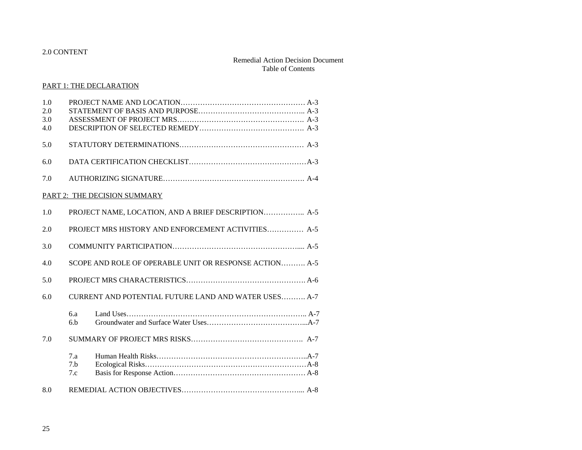#### 2.0 CONTENT

#### Remedial Action Decision Document Table of Contents

#### PART 1: THE DECLARATION

| 1.0<br>2.0 |                                                        |
|------------|--------------------------------------------------------|
| 3.0        |                                                        |
| 4.0        |                                                        |
| 5.0        |                                                        |
| 6.0        |                                                        |
| 7.0        |                                                        |
|            | PART 2: THE DECISION SUMMARY                           |
| 1.0        | PROJECT NAME, LOCATION, AND A BRIEF DESCRIPTION A-5    |
| 2.0        | PROJECT MRS HISTORY AND ENFORCEMENT ACTIVITIES A-5     |
| 3.0        |                                                        |
| 4.0        | SCOPE AND ROLE OF OPERABLE UNIT OR RESPONSE ACTION A-5 |
| 5.0        |                                                        |
| 6.0        | CURRENT AND POTENTIAL FUTURE LAND AND WATER USES A-7   |
|            | 6.a<br>6.h                                             |
| 7.0        |                                                        |
|            | 7.a<br>7.h<br>7.c                                      |
| 8.0        |                                                        |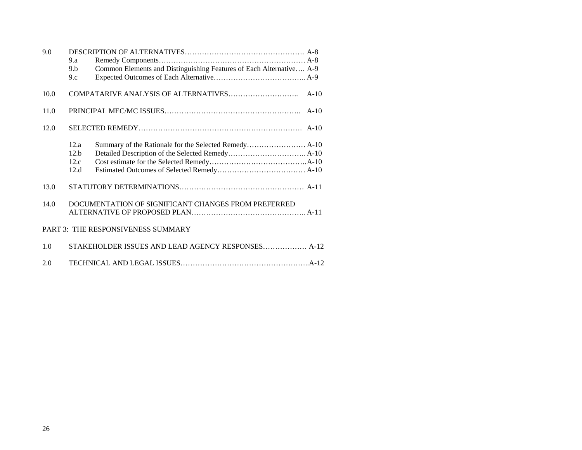| 9.0  |                |                                                                     |
|------|----------------|---------------------------------------------------------------------|
|      | 9.a            |                                                                     |
|      | 9 <sub>h</sub> | Common Elements and Distinguishing Features of Each Alternative A-9 |
|      | 9.c            |                                                                     |
|      |                |                                                                     |
| 10.0 |                | $A-10$                                                              |
|      |                |                                                                     |
| 11.0 |                | $A-10$                                                              |
|      |                |                                                                     |
| 12.0 |                |                                                                     |
|      |                |                                                                     |
|      | 12.a           |                                                                     |
|      | 12.b           |                                                                     |
|      | 12.c           |                                                                     |
|      | 12.d           |                                                                     |
|      |                |                                                                     |
| 13.0 |                |                                                                     |
|      |                |                                                                     |
| 14.0 |                | DOCUMENTATION OF SIGNIFICANT CHANGES FROM PREFERRED                 |
|      |                |                                                                     |
|      |                |                                                                     |
|      |                | PART 3: THE RESPONSIVENESS SUMMARY                                  |
|      |                |                                                                     |
| 1.0  |                | STAKEHOLDER ISSUES AND LEAD AGENCY RESPONSES A-12                   |
|      |                |                                                                     |
| 2.0  |                |                                                                     |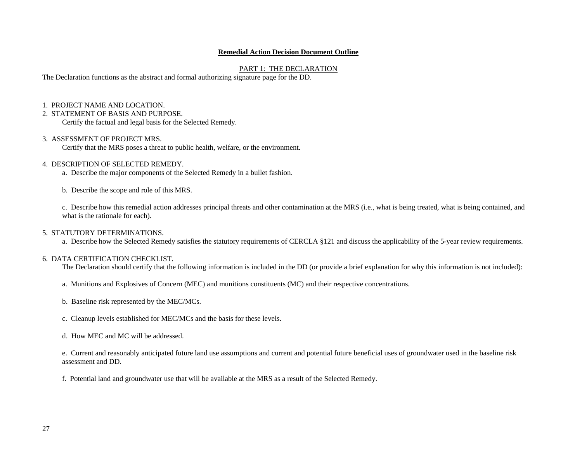#### **Remedial Action Decision Document Outline**

#### PART 1: THE DECLARATION

The Declaration functions as the abstract and formal authorizing signature page for the DD.

- 1. PROJECT NAME AND LOCATION.
- 2. STATEMENT OF BASIS AND PURPOSE.

Certify the factual and legal basis for the Selected Remedy.

#### 3. ASSESSMENT OF PROJECT MRS.

Certify that the MRS poses a threat to public health, welfare, or the environment.

#### 4. DESCRIPTION OF SELECTED REMEDY.

a. Describe the major components of the Selected Remedy in a bullet fashion.

b. Describe the scope and role of this MRS.

c. Describe how this remedial action addresses principal threats and other contamination at the MRS (i.e., what is being treated, what is being contained, and what is the rationale for each).

#### 5. STATUTORY DETERMINATIONS.

a. Describe how the Selected Remedy satisfies the statutory requirements of CERCLA §121 and discuss the applicability of the 5-year review requirements.

#### 6. DATA CERTIFICATION CHECKLIST.

The Declaration should certify that the following information is included in the DD (or provide a brief explanation for why this information is not included):

- a. Munitions and Explosives of Concern (MEC) and munitions constituents (MC) and their respective concentrations.
- b. Baseline risk represented by the MEC/MCs.
- c. Cleanup levels established for MEC/MCs and the basis for these levels.
- d. How MEC and MC will be addressed.

e. Current and reasonably anticipated future land use assumptions and current and potential future beneficial uses of groundwater used in the baseline risk assessment and DD.

f. Potential land and groundwater use that will be available at the MRS as a result of the Selected Remedy.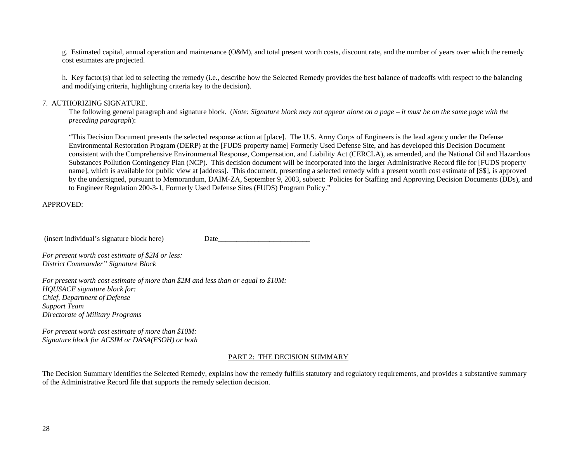g. Estimated capital, annual operation and maintenance (O&M), and total present worth costs, discount rate, and the number of years over which the remedy cost estimates are projected.

h. Key factor(s) that led to selecting the remedy (i.e., describe how the Selected Remedy provides the best balance of tradeoffs with respect to the balancing and modifying criteria, highlighting criteria key to the decision).

#### 7. AUTHORIZING SIGNATURE.

The following general paragraph and signature block. (*Note: Signature block may not appear alone on a page – it must be on the same page with the preceding paragraph*):

"This Decision Document presents the selected response action at [place]. The U.S. Army Corps of Engineers is the lead agency under the Defense Environmental Restoration Program (DERP) at the [FUDS property name] Formerly Used Defense Site, and has developed this Decision Document consistent with the Comprehensive Environmental Response, Compensation, and Liability Act (CERCLA), as amended, and the National Oil and Hazardous Substances Pollution Contingency Plan (NCP). This decision document will be incorporated into the larger Administrative Record file for [FUDS property name], which is available for public view at [address]. This document, presenting a selected remedy with a present worth cost estimate of [\$\$], is approved by the undersigned, pursuant to Memorandum, DAIM-ZA, September 9, 2003, subject: Policies for Staffing and Approving Decision Documents (DDs), and to Engineer Regulation 200-3-1, Formerly Used Defense Sites (FUDS) Program Policy."

APPROVED:

(insert individual's signature block here) Date\_\_\_\_\_\_\_\_\_\_\_\_\_\_\_\_\_\_\_\_\_\_\_\_\_

*For present worth cost estimate of \$2M or less: District Commander" Signature Block* 

*For present worth cost estimate of more than \$2M and less than or equal to \$10M: HQUSACE signature block for: Chief, Department of Defense Support Team Directorate of Military Programs* 

*For present worth cost estimate of more than \$10M: Signature block for ACSIM or DASA(ESOH) or both* 

#### PART 2: THE DECISION SUMMARY

The Decision Summary identifies the Selected Remedy, explains how the remedy fulfills statutory and regulatory requirements, and provides a substantive summary of the Administrative Record file that supports the remedy selection decision.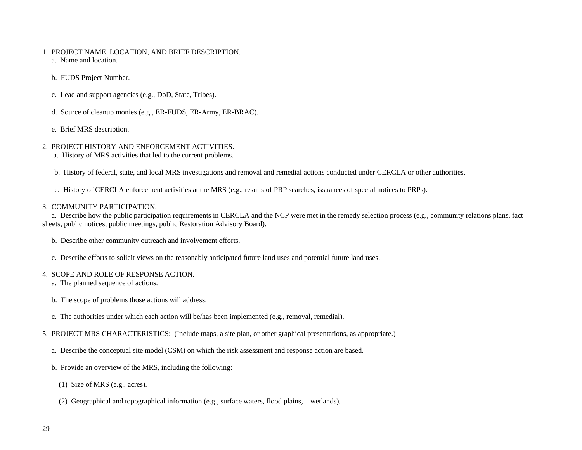- 1. PROJECT NAME, LOCATION, AND BRIEF DESCRIPTION. a. Name and location.
	- b. FUDS Project Number.
	- c. Lead and support agencies (e.g., DoD, State, Tribes).
	- d. Source of cleanup monies (e.g., ER-FUDS, ER-Army, ER-BRAC).
	- e. Brief MRS description.
- 2. PROJECT HISTORY AND ENFORCEMENT ACTIVITIES.
	- a. History of MRS activities that led to the current problems.
	- b. History of federal, state, and local MRS investigations and removal and remedial actions conducted under CERCLA or other authorities.
	- c. History of CERCLA enforcement activities at the MRS (e.g., results of PRP searches, issuances of special notices to PRPs).

#### 3. COMMUNITY PARTICIPATION.

 a. Describe how the public participation requirements in CERCLA and the NCP were met in the remedy selection process (e.g., community relations plans, fact sheets, public notices, public meetings, public Restoration Advisory Board).

- b. Describe other community outreach and involvement efforts.
- c. Describe efforts to solicit views on the reasonably anticipated future land uses and potential future land uses.

#### 4. SCOPE AND ROLE OF RESPONSE ACTION.

- a. The planned sequence of actions.
- b. The scope of problems those actions will address.
- c. The authorities under which each action will be/has been implemented (e.g., removal, remedial).
- 5. PROJECT MRS CHARACTERISTICS: (Include maps, a site plan, or other graphical presentations, as appropriate.)
	- a. Describe the conceptual site model (CSM) on which the risk assessment and response action are based.
	- b. Provide an overview of the MRS, including the following:
		- (1) Size of MRS (e.g., acres).
		- (2) Geographical and topographical information (e.g., surface waters, flood plains, wetlands).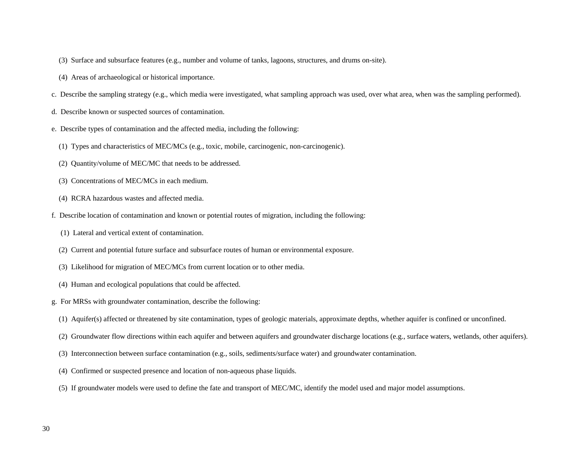- (3) Surface and subsurface features (e.g., number and volume of tanks, lagoons, structures, and drums on-site).
- (4) Areas of archaeological or historical importance.
- c. Describe the sampling strategy (e.g., which media were investigated, what sampling approach was used, over what area, when was the sampling performed).
- d. Describe known or suspected sources of contamination.
- e. Describe types of contamination and the affected media, including the following:
	- (1) Types and characteristics of MEC/MCs (e.g., toxic, mobile, carcinogenic, non-carcinogenic).
	- (2) Quantity/volume of MEC/MC that needs to be addressed.
	- (3) Concentrations of MEC/MCs in each medium.
	- (4) RCRA hazardous wastes and affected media.
- f. Describe location of contamination and known or potential routes of migration, including the following:
	- (1) Lateral and vertical extent of contamination.
	- (2) Current and potential future surface and subsurface routes of human or environmental exposure.
	- (3) Likelihood for migration of MEC/MCs from current location or to other media.
	- (4) Human and ecological populations that could be affected.
- g. For MRSs with groundwater contamination, describe the following:
	- (1) Aquifer(s) affected or threatened by site contamination, types of geologic materials, approximate depths, whether aquifer is confined or unconfined.
	- (2) Groundwater flow directions within each aquifer and between aquifers and groundwater discharge locations (e.g., surface waters, wetlands, other aquifers).
	- (3) Interconnection between surface contamination (e.g., soils, sediments/surface water) and groundwater contamination.
	- (4) Confirmed or suspected presence and location of non-aqueous phase liquids.
	- (5) If groundwater models were used to define the fate and transport of MEC/MC, identify the model used and major model assumptions.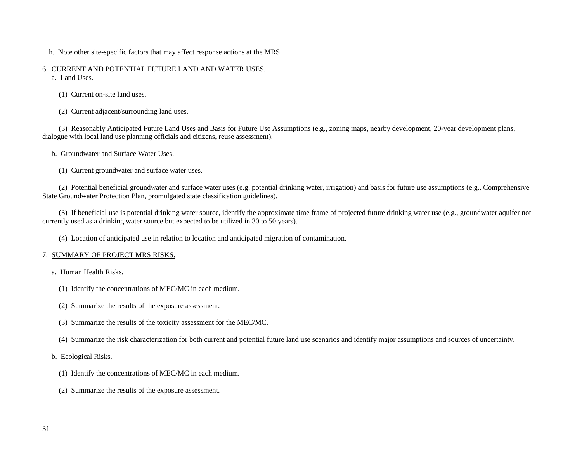- h. Note other site-specific factors that may affect response actions at the MRS.
- 6. CURRENT AND POTENTIAL FUTURE LAND AND WATER USES. a. Land Uses.
	- (1) Current on-site land uses.
	- (2) Current adjacent/surrounding land uses.

 (3) Reasonably Anticipated Future Land Uses and Basis for Future Use Assumptions (e.g., zoning maps, nearby development, 20-year development plans, dialogue with local land use planning officials and citizens, reuse assessment).

- b. Groundwater and Surface Water Uses.
	- (1) Current groundwater and surface water uses.

 (2) Potential beneficial groundwater and surface water uses (e.g. potential drinking water, irrigation) and basis for future use assumptions (e.g., Comprehensive State Groundwater Protection Plan, promulgated state classification guidelines).

 (3) If beneficial use is potential drinking water source, identify the approximate time frame of projected future drinking water use (e.g., groundwater aquifer not currently used as a drinking water source but expected to be utilized in 30 to 50 years).

(4) Location of anticipated use in relation to location and anticipated migration of contamination.

#### 7. SUMMARY OF PROJECT MRS RISKS.

a. Human Health Risks.

- (1) Identify the concentrations of MEC/MC in each medium.
- (2) Summarize the results of the exposure assessment.
- (3) Summarize the results of the toxicity assessment for the MEC/MC.
- (4) Summarize the risk characterization for both current and potential future land use scenarios and identify major assumptions and sources of uncertainty.
- b. Ecological Risks.
	- (1) Identify the concentrations of MEC/MC in each medium.
	- (2) Summarize the results of the exposure assessment.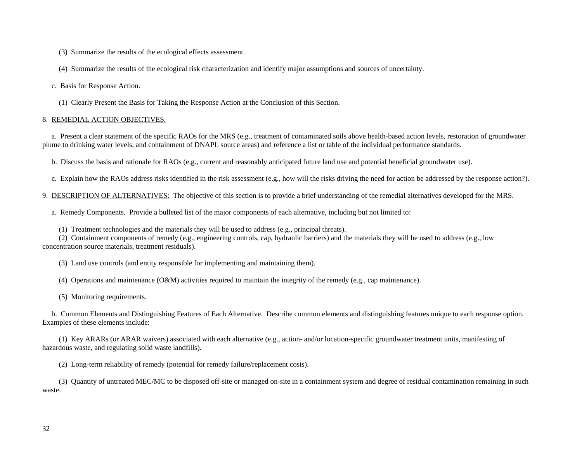(3) Summarize the results of the ecological effects assessment.

(4) Summarize the results of the ecological risk characterization and identify major assumptions and sources of uncertainty.

c. Basis for Response Action.

(1) Clearly Present the Basis for Taking the Response Action at the Conclusion of this Section.

#### 8. REMEDIAL ACTION OBJECTIVES.

 a. Present a clear statement of the specific RAOs for the MRS (e.g., treatment of contaminated soils above health-based action levels, restoration of groundwater plume to drinking water levels, and containment of DNAPL source areas) and reference a list or table of the individual performance standards.

b. Discuss the basis and rationale for RAOs (e.g., current and reasonably anticipated future land use and potential beneficial groundwater use).

c. Explain how the RAOs address risks identified in the risk assessment (e.g., how will the risks driving the need for action be addressed by the response action?).

9. DESCRIPTION OF ALTERNATIVES: The objective of this section is to provide a brief understanding of the remedial alternatives developed for the MRS.

a. Remedy Components. Provide a bulleted list of the major components of each alternative, including but not limited to:

(1) Treatment technologies and the materials they will be used to address (e.g., principal threats).

 (2) Containment components of remedy (e.g., engineering controls, cap, hydraulic barriers) and the materials they will be used to address (e.g., low concentration source materials, treatment residuals).

(3) Land use controls (and entity responsible for implementing and maintaining them).

(4) Operations and maintenance (O&M) activities required to maintain the integrity of the remedy (e.g., cap maintenance).

(5) Monitoring requirements.

 b. Common Elements and Distinguishing Features of Each Alternative. Describe common elements and distinguishing features unique to each response option. Examples of these elements include:

 (1) Key ARARs (or ARAR waivers) associated with each alternative (e.g., action- and/or location-specific groundwater treatment units, manifesting of hazardous waste, and regulating solid waste landfills).

(2) Long-term reliability of remedy (potential for remedy failure/replacement costs).

 (3) Quantity of untreated MEC/MC to be disposed off-site or managed on-site in a containment system and degree of residual contamination remaining in such waste.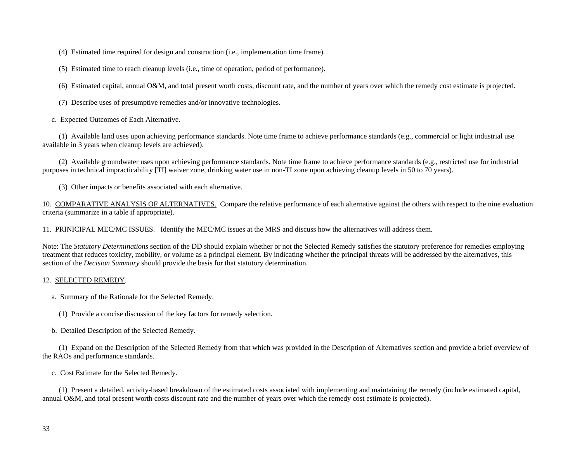(4) Estimated time required for design and construction (i.e., implementation time frame).

(5) Estimated time to reach cleanup levels (i.e., time of operation, period of performance).

(6) Estimated capital, annual O&M, and total present worth costs, discount rate, and the number of years over which the remedy cost estimate is projected.

(7) Describe uses of presumptive remedies and/or innovative technologies.

c. Expected Outcomes of Each Alternative.

 (1) Available land uses upon achieving performance standards. Note time frame to achieve performance standards (e.g., commercial or light industrial use available in 3 years when cleanup levels are achieved).

 (2) Available groundwater uses upon achieving performance standards. Note time frame to achieve performance standards (e.g., restricted use for industrial purposes in technical impracticability [TI] waiver zone, drinking water use in non-TI zone upon achieving cleanup levels in 50 to 70 years).

(3) Other impacts or benefits associated with each alternative.

10. COMPARATIVE ANALYSIS OF ALTERNATIVES. Compare the relative performance of each alternative against the others with respect to the nine evaluation criteria (summarize in a table if appropriate).

11. PRINICIPAL MEC/MC ISSUES. Identify the MEC/MC issues at the MRS and discuss how the alternatives will address them.

Note: The *Statutory Determinations* section of the DD should explain whether or not the Selected Remedy satisfies the statutory preference for remedies employing treatment that reduces toxicity, mobility, or volume as a principal element. By indicating whether the principal threats will be addressed by the alternatives, this section of the *Decision Summary* should provide the basis for that statutory determination.

#### 12. SELECTED REMEDY.

- a. Summary of the Rationale for the Selected Remedy.
	- (1) Provide a concise discussion of the key factors for remedy selection.
- b. Detailed Description of the Selected Remedy.

 (1) Expand on the Description of the Selected Remedy from that which was provided in the Description of Alternatives section and provide a brief overview of the RAOs and performance standards.

c. Cost Estimate for the Selected Remedy.

 (1) Present a detailed, activity-based breakdown of the estimated costs associated with implementing and maintaining the remedy (include estimated capital, annual O&M, and total present worth costs discount rate and the number of years over which the remedy cost estimate is projected).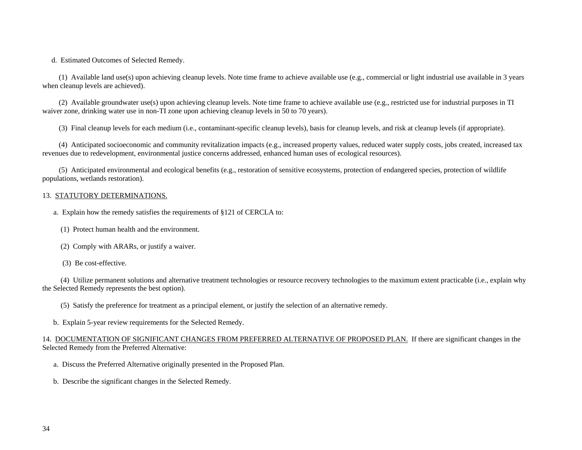d. Estimated Outcomes of Selected Remedy.

 (1) Available land use(s) upon achieving cleanup levels. Note time frame to achieve available use (e.g., commercial or light industrial use available in 3 years when cleanup levels are achieved).

 (2) Available groundwater use(s) upon achieving cleanup levels. Note time frame to achieve available use (e.g., restricted use for industrial purposes in TI waiver zone, drinking water use in non-TI zone upon achieving cleanup levels in 50 to 70 years).

(3) Final cleanup levels for each medium (i.e., contaminant-specific cleanup levels), basis for cleanup levels, and risk at cleanup levels (if appropriate).

 (4) Anticipated socioeconomic and community revitalization impacts (e.g., increased property values, reduced water supply costs, jobs created, increased tax revenues due to redevelopment, environmental justice concerns addressed, enhanced human uses of ecological resources).

 (5) Anticipated environmental and ecological benefits (e.g., restoration of sensitive ecosystems, protection of endangered species, protection of wildlife populations, wetlands restoration).

#### 13. STATUTORY DETERMINATIONS.

- a. Explain how the remedy satisfies the requirements of §121 of CERCLA to:
	- (1) Protect human health and the environment.
	- (2) Comply with ARARs, or justify a waiver.
	- (3) Be cost-effective.

 (4) Utilize permanent solutions and alternative treatment technologies or resource recovery technologies to the maximum extent practicable (i.e., explain why the Selected Remedy represents the best option).

(5) Satisfy the preference for treatment as a principal element, or justify the selection of an alternative remedy.

b. Explain 5-year review requirements for the Selected Remedy.

14. DOCUMENTATION OF SIGNIFICANT CHANGES FROM PREFERRED ALTERNATIVE OF PROPOSED PLAN. If there are significant changes in the Selected Remedy from the Preferred Alternative:

- a. Discuss the Preferred Alternative originally presented in the Proposed Plan.
- b. Describe the significant changes in the Selected Remedy.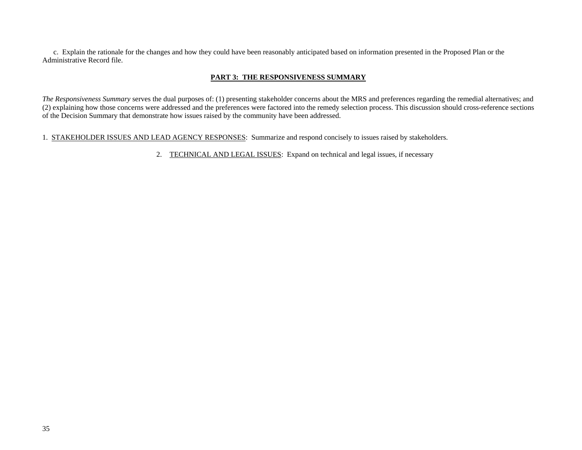c. Explain the rationale for the changes and how they could have been reasonably anticipated based on information presented in the Proposed Plan or the Administrative Record file.

## **PART 3: THE RESPONSIVENESS SUMMARY**

*The Responsiveness Summary* serves the dual purposes of: (1) presenting stakeholder concerns about the MRS and preferences regarding the remedial alternatives; and (2) explaining how those concerns were addressed and the preferences were factored into the remedy selection process. This discussion should cross-reference sections of the Decision Summary that demonstrate how issues raised by the community have been addressed.

#### 1. STAKEHOLDER ISSUES AND LEAD AGENCY RESPONSES: Summarize and respond concisely to issues raised by stakeholders.

2. TECHNICAL AND LEGAL ISSUES: Expand on technical and legal issues, if necessary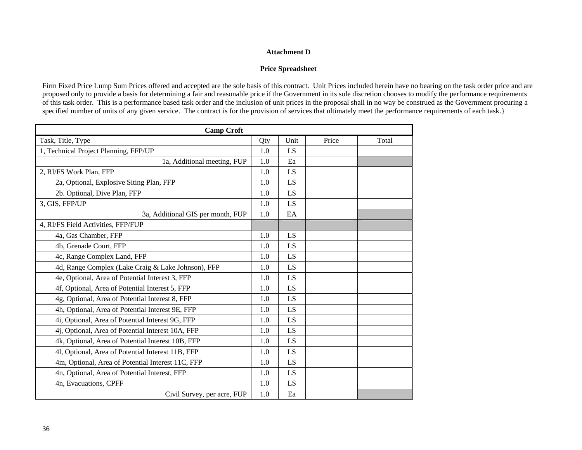#### **Attachment D**

## **Price Spreadsheet**

Firm Fixed Price Lump Sum Prices offered and accepted are the sole basis of this contract. Unit Prices included herein have no bearing on the task order price and are proposed only to provide a basis for determining a fair and reasonable price if the Government in its sole discretion chooses to modify the performance requirements of this task order. This is a performance based task order and the inclusion of unit prices in the proposal shall in no way be construed as the Government procuring a specified number of units of any given service. The contract is for the provision of services that ultimately meet the performance requirements of each task.}

| <b>Camp Croft</b>                                  |     |      |       |       |  |
|----------------------------------------------------|-----|------|-------|-------|--|
| Task, Title, Type                                  | Qty | Unit | Price | Total |  |
| 1, Technical Project Planning, FFP/UP              | 1.0 | LS   |       |       |  |
| 1a, Additional meeting, FUP                        | 1.0 | Ea   |       |       |  |
| 2, RI/FS Work Plan, FFP                            | 1.0 | LS   |       |       |  |
| 2a, Optional, Explosive Siting Plan, FFP           | 1.0 | LS   |       |       |  |
| 2b. Optional, Dive Plan, FFP                       | 1.0 | LS   |       |       |  |
| 3, GIS, FFP/UP                                     | 1.0 | LS   |       |       |  |
| 3a, Additional GIS per month, FUP                  | 1.0 | EA   |       |       |  |
| 4, RI/FS Field Activities, FFP/FUP                 |     |      |       |       |  |
| 4a, Gas Chamber, FFP                               | 1.0 | LS   |       |       |  |
| 4b, Grenade Court, FFP                             | 1.0 | LS   |       |       |  |
| 4c, Range Complex Land, FFP                        | 1.0 | LS   |       |       |  |
| 4d, Range Complex (Lake Craig & Lake Johnson), FFP | 1.0 | LS   |       |       |  |
| 4e, Optional, Area of Potential Interest 3, FFP    | 1.0 | LS   |       |       |  |
| 4f, Optional, Area of Potential Interest 5, FFP    | 1.0 | LS   |       |       |  |
| 4g, Optional, Area of Potential Interest 8, FFP    | 1.0 | LS   |       |       |  |
| 4h, Optional, Area of Potential Interest 9E, FFP   | 1.0 | LS   |       |       |  |
| 4i, Optional, Area of Potential Interest 9G, FFP   | 1.0 | LS   |       |       |  |
| 4j, Optional, Area of Potential Interest 10A, FFP  | 1.0 | LS   |       |       |  |
| 4k, Optional, Area of Potential Interest 10B, FFP  | 1.0 | LS   |       |       |  |
| 41, Optional, Area of Potential Interest 11B, FFP  | 1.0 | LS   |       |       |  |
| 4m, Optional, Area of Potential Interest 11C, FFP  | 1.0 | LS   |       |       |  |
| 4n, Optional, Area of Potential Interest, FFP      | 1.0 | LS   |       |       |  |
| 4n, Evacuations, CPFF                              | 1.0 | LS   |       |       |  |
| Civil Survey, per acre, FUP                        | 1.0 | Ea   |       |       |  |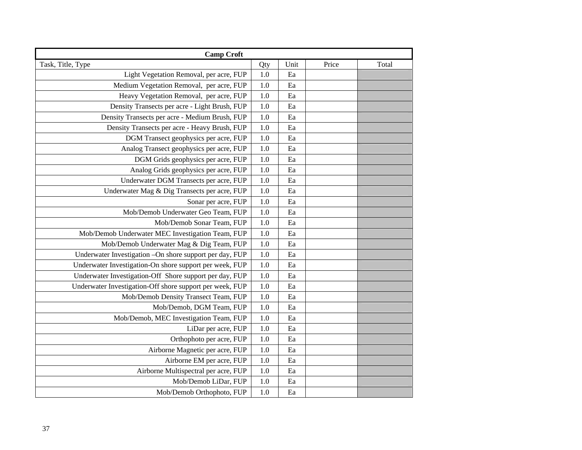| <b>Camp Croft</b>                                        |         |      |       |       |
|----------------------------------------------------------|---------|------|-------|-------|
| Task, Title, Type                                        | Qty     | Unit | Price | Total |
| Light Vegetation Removal, per acre, FUP                  | $1.0\,$ | Ea   |       |       |
| Medium Vegetation Removal, per acre, FUP                 | 1.0     | Ea   |       |       |
| Heavy Vegetation Removal, per acre, FUP                  | 1.0     | Ea   |       |       |
| Density Transects per acre - Light Brush, FUP            | 1.0     | Ea   |       |       |
| Density Transects per acre - Medium Brush, FUP           | 1.0     | Ea   |       |       |
| Density Transects per acre - Heavy Brush, FUP            | 1.0     | Ea   |       |       |
| DGM Transect geophysics per acre, FUP                    | 1.0     | Ea   |       |       |
| Analog Transect geophysics per acre, FUP                 | 1.0     | Ea   |       |       |
| DGM Grids geophysics per acre, FUP                       | 1.0     | Ea   |       |       |
| Analog Grids geophysics per acre, FUP                    | $1.0\,$ | Ea   |       |       |
| Underwater DGM Transects per acre, FUP                   | 1.0     | Ea   |       |       |
| Underwater Mag & Dig Transects per acre, FUP             | 1.0     | Ea   |       |       |
| Sonar per acre, FUP                                      | 1.0     | Ea   |       |       |
| Mob/Demob Underwater Geo Team, FUP                       | 1.0     | Ea   |       |       |
| Mob/Demob Sonar Team, FUP                                | 1.0     | Ea   |       |       |
| Mob/Demob Underwater MEC Investigation Team, FUP         | 1.0     | Ea   |       |       |
| Mob/Demob Underwater Mag & Dig Team, FUP                 | 1.0     | Ea   |       |       |
| Underwater Investigation - On shore support per day, FUP | 1.0     | Ea   |       |       |
| Underwater Investigation-On shore support per week, FUP  | 1.0     | Ea   |       |       |
| Underwater Investigation-Off Shore support per day, FUP  | $1.0\,$ | Ea   |       |       |
| Underwater Investigation-Off shore support per week, FUP | 1.0     | Ea   |       |       |
| Mob/Demob Density Transect Team, FUP                     | 1.0     | Ea   |       |       |
| Mob/Demob, DGM Team, FUP                                 | 1.0     | Ea   |       |       |
| Mob/Demob, MEC Investigation Team, FUP                   | 1.0     | Ea   |       |       |
| LiDar per acre, FUP                                      | 1.0     | Ea   |       |       |
| Orthophoto per acre, FUP                                 | 1.0     | Ea   |       |       |
| Airborne Magnetic per acre, FUP                          | 1.0     | Ea   |       |       |
| Airborne EM per acre, FUP                                | 1.0     | Ea   |       |       |
| Airborne Multispectral per acre, FUP                     | 1.0     | Ea   |       |       |
| Mob/Demob LiDar, FUP                                     | 1.0     | Ea   |       |       |
| Mob/Demob Orthophoto, FUP                                | 1.0     | Ea   |       |       |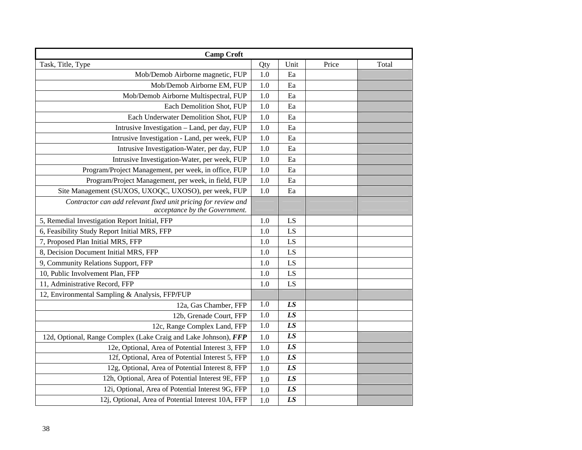| <b>Camp Croft</b>                                                                              |         |                 |       |       |
|------------------------------------------------------------------------------------------------|---------|-----------------|-------|-------|
| Task, Title, Type                                                                              | Qty     | Unit            | Price | Total |
| Mob/Demob Airborne magnetic, FUP                                                               | 1.0     | Ea              |       |       |
| Mob/Demob Airborne EM, FUP                                                                     | 1.0     | Ea              |       |       |
| Mob/Demob Airborne Multispectral, FUP                                                          | 1.0     | Ea              |       |       |
| Each Demolition Shot, FUP                                                                      | 1.0     | Ea              |       |       |
| Each Underwater Demolition Shot, FUP                                                           | 1.0     | Ea              |       |       |
| Intrusive Investigation - Land, per day, FUP                                                   | 1.0     | Ea              |       |       |
| Intrusive Investigation - Land, per week, FUP                                                  | 1.0     | Ea              |       |       |
| Intrusive Investigation-Water, per day, FUP                                                    | 1.0     | Ea              |       |       |
| Intrusive Investigation-Water, per week, FUP                                                   | 1.0     | Ea              |       |       |
| Program/Project Management, per week, in office, FUP                                           | 1.0     | Ea              |       |       |
| Program/Project Management, per week, in field, FUP                                            | 1.0     | Ea              |       |       |
| Site Management (SUXOS, UXOQC, UXOSO), per week, FUP                                           | 1.0     | Ea              |       |       |
| Contractor can add relevant fixed unit pricing for review and<br>acceptance by the Government. |         |                 |       |       |
| 5, Remedial Investigation Report Initial, FFP                                                  | 1.0     | LS              |       |       |
| 6, Feasibility Study Report Initial MRS, FFP                                                   | 1.0     | LS              |       |       |
| 7, Proposed Plan Initial MRS, FFP                                                              | 1.0     | LS              |       |       |
| 8, Decision Document Initial MRS, FFP                                                          | 1.0     | LS              |       |       |
| 9, Community Relations Support, FFP                                                            | 1.0     | LS              |       |       |
| 10, Public Involvement Plan, FFP                                                               | 1.0     | LS              |       |       |
| 11, Administrative Record, FFP                                                                 | 1.0     | LS              |       |       |
| 12, Environmental Sampling & Analysis, FFP/FUP                                                 |         |                 |       |       |
| 12a, Gas Chamber, FFP                                                                          | 1.0     | LS              |       |       |
| 12b, Grenade Court, FFP                                                                        | 1.0     | LS              |       |       |
| 12c, Range Complex Land, FFP                                                                   | $1.0\,$ | LS              |       |       |
| 12d, Optional, Range Complex (Lake Craig and Lake Johnson), FFP                                | 1.0     | LS              |       |       |
| 12e, Optional, Area of Potential Interest 3, FFP                                               | $1.0\,$ | LS              |       |       |
| 12f, Optional, Area of Potential Interest 5, FFP                                               | 1.0     | LS              |       |       |
| 12g, Optional, Area of Potential Interest 8, FFP                                               | 1.0     | $\overline{LS}$ |       |       |
| 12h, Optional, Area of Potential Interest 9E, FFP                                              | 1.0     | LS              |       |       |
| 12i, Optional, Area of Potential Interest 9G, FFP                                              | 1.0     | LS              |       |       |
| 12j, Optional, Area of Potential Interest 10A, FFP                                             | 1.0     | LS              |       |       |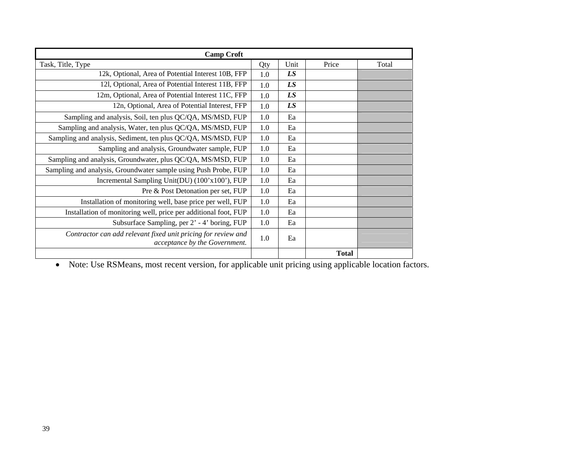| <b>Camp Croft</b>                                                                              |     |      |              |       |
|------------------------------------------------------------------------------------------------|-----|------|--------------|-------|
| Task, Title, Type                                                                              | Qty | Unit | Price        | Total |
| 12k, Optional, Area of Potential Interest 10B, FFP                                             | 1.0 | LS   |              |       |
| 121, Optional, Area of Potential Interest 11B, FFP                                             | 1.0 | LS   |              |       |
| 12m, Optional, Area of Potential Interest 11C, FFP                                             | 1.0 | LS   |              |       |
| 12n, Optional, Area of Potential Interest, FFP                                                 | 1.0 | LS   |              |       |
| Sampling and analysis, Soil, ten plus QC/QA, MS/MSD, FUP                                       | 1.0 | Ea   |              |       |
| Sampling and analysis, Water, ten plus QC/QA, MS/MSD, FUP                                      | 1.0 | Ea   |              |       |
| Sampling and analysis, Sediment, ten plus QC/QA, MS/MSD, FUP                                   | 1.0 | Ea   |              |       |
| Sampling and analysis, Groundwater sample, FUP                                                 | 1.0 | Ea   |              |       |
| Sampling and analysis, Groundwater, plus QC/QA, MS/MSD, FUP                                    | 1.0 | Ea   |              |       |
| Sampling and analysis, Groundwater sample using Push Probe, FUP                                | 1.0 | Ea   |              |       |
| Incremental Sampling Unit(DU) (100'x100'), FUP                                                 | 1.0 | Ea   |              |       |
| Pre & Post Detonation per set, FUP                                                             | 1.0 | Ea   |              |       |
| Installation of monitoring well, base price per well, FUP                                      | 1.0 | Ea   |              |       |
| Installation of monitoring well, price per additional foot, FUP                                | 1.0 | Ea   |              |       |
| Subsurface Sampling, per 2' - 4' boring, FUP                                                   | 1.0 | Ea   |              |       |
| Contractor can add relevant fixed unit pricing for review and<br>acceptance by the Government. | 1.0 | Ea   |              |       |
|                                                                                                |     |      | <b>Total</b> |       |

• Note: Use RSMeans, most recent version, for applicable unit pricing using applicable location factors.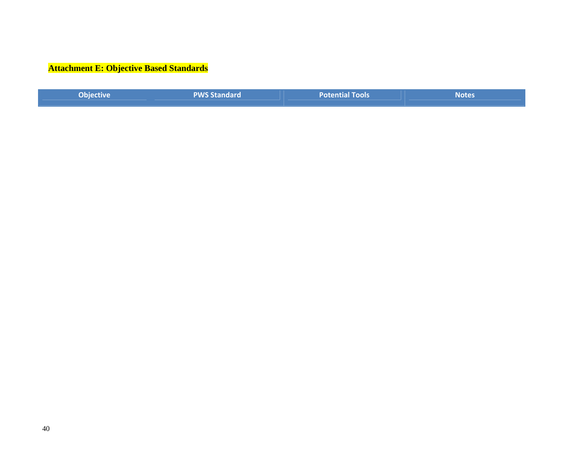# **Attachment E: Objective Based Standards**

| Objective | <b>PWS Standard</b> | Potential Tools | <b>Notes</b> |
|-----------|---------------------|-----------------|--------------|
|           |                     |                 |              |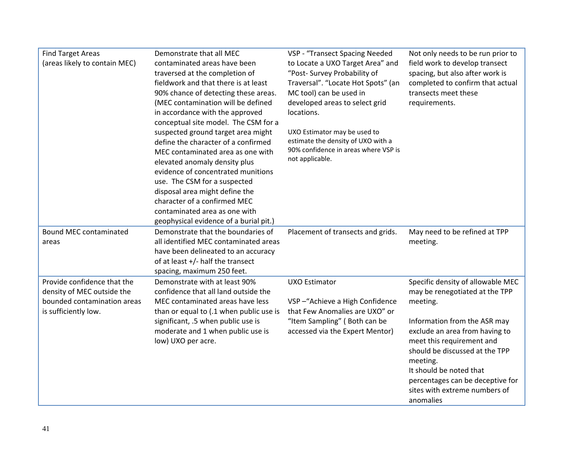| <b>Find Target Areas</b>                            | Demonstrate that all MEC                                                    | VSP - "Transect Spacing Needed                                   | Not only needs to be run prior to                                 |
|-----------------------------------------------------|-----------------------------------------------------------------------------|------------------------------------------------------------------|-------------------------------------------------------------------|
| (areas likely to contain MEC)                       | contaminated areas have been<br>traversed at the completion of              | to Locate a UXO Target Area" and<br>"Post- Survey Probability of | field work to develop transect<br>spacing, but also after work is |
|                                                     | fieldwork and that there is at least                                        | Traversal". "Locate Hot Spots" (an                               | completed to confirm that actual                                  |
|                                                     | 90% chance of detecting these areas.                                        | MC tool) can be used in                                          | transects meet these                                              |
|                                                     | (MEC contamination will be defined                                          | developed areas to select grid                                   | requirements.                                                     |
|                                                     | in accordance with the approved<br>conceptual site model. The CSM for a     | locations.                                                       |                                                                   |
|                                                     | suspected ground target area might                                          | UXO Estimator may be used to                                     |                                                                   |
|                                                     | define the character of a confirmed                                         | estimate the density of UXO with a                               |                                                                   |
|                                                     | MEC contaminated area as one with                                           | 90% confidence in areas where VSP is<br>not applicable.          |                                                                   |
|                                                     | elevated anomaly density plus<br>evidence of concentrated munitions         |                                                                  |                                                                   |
|                                                     | use. The CSM for a suspected                                                |                                                                  |                                                                   |
|                                                     | disposal area might define the                                              |                                                                  |                                                                   |
|                                                     | character of a confirmed MEC                                                |                                                                  |                                                                   |
|                                                     | contaminated area as one with<br>geophysical evidence of a burial pit.)     |                                                                  |                                                                   |
|                                                     |                                                                             |                                                                  |                                                                   |
|                                                     |                                                                             |                                                                  |                                                                   |
| <b>Bound MEC contaminated</b><br>areas              | Demonstrate that the boundaries of<br>all identified MEC contaminated areas | Placement of transects and grids.                                | May need to be refined at TPP<br>meeting.                         |
|                                                     | have been delineated to an accuracy                                         |                                                                  |                                                                   |
|                                                     | of at least +/- half the transect                                           |                                                                  |                                                                   |
|                                                     | spacing, maximum 250 feet.                                                  |                                                                  |                                                                   |
| Provide confidence that the                         | Demonstrate with at least 90%                                               | <b>UXO Estimator</b>                                             | Specific density of allowable MEC                                 |
| density of MEC outside the                          | confidence that all land outside the                                        |                                                                  | may be renegotiated at the TPP                                    |
| bounded contamination areas<br>is sufficiently low. | MEC contaminated areas have less<br>than or equal to (.1 when public use is | VSP-"Achieve a High Confidence<br>that Few Anomalies are UXO" or | meeting.                                                          |
|                                                     | significant, .5 when public use is                                          | "Item Sampling" (Both can be                                     | Information from the ASR may                                      |
|                                                     | moderate and 1 when public use is                                           | accessed via the Expert Mentor)                                  | exclude an area from having to                                    |
|                                                     | low) UXO per acre.                                                          |                                                                  | meet this requirement and                                         |
|                                                     |                                                                             |                                                                  | should be discussed at the TPP<br>meeting.                        |
|                                                     |                                                                             |                                                                  | It should be noted that                                           |
|                                                     |                                                                             |                                                                  | percentages can be deceptive for                                  |
|                                                     |                                                                             |                                                                  | sites with extreme numbers of<br>anomalies                        |